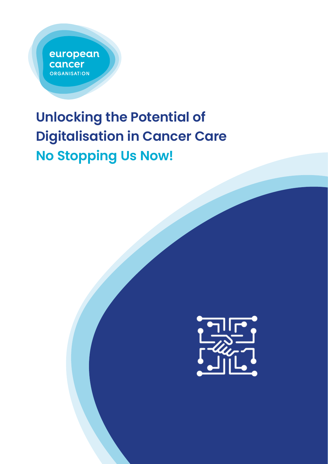european cancer **ORGANISATION** 

# **Unlocking the Potential of Digitalisation in Cancer Care No Stopping Us Now!**

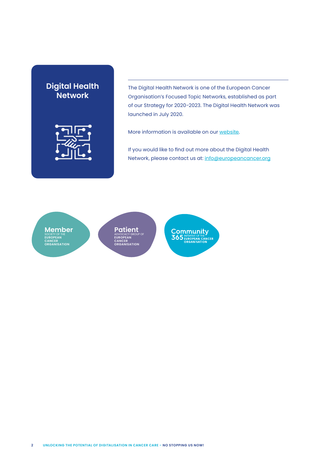# **Digital Health Network**



The Digital Health Network is one of the European Cancer Organisation's Focused Topic Networks, established as part of our Strategy for 2020-2023. The Digital Health Network was launched in July 2020.

More information is available on ou[r website.](https://www.europeancancer.org/topic-networks/4:digital-health)

If you would like to find out more about the Digital Health Network, please contact us at: info@europeancancer.org

**Member**  SOCIETY OF THE **EUROPEAN CANCER ORGANISATION**

**Patient**  ADVOCACY GROUP OF **EUROPEAN CANCER ORGANISATION**

**Community**<br>**365** EUROPEAN CANC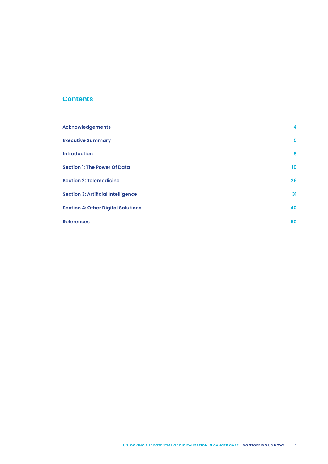# **Contents**

| <b>Acknowledgements</b>                   | 4               |
|-------------------------------------------|-----------------|
| <b>Executive Summary</b>                  | 5               |
| <b>Introduction</b>                       | 8               |
| <b>Section 1: The Power Of Data</b>       | 10 <sup>°</sup> |
| <b>Section 2: Telemedicine</b>            | 26              |
| <b>Section 3: Artificial Intelligence</b> | 31              |
| <b>Section 4: Other Digital Solutions</b> | 40              |
| <b>References</b>                         | 50              |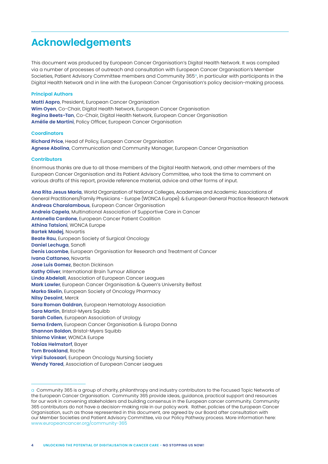# <span id="page-3-0"></span>**Acknowledgements**

This document was produced by European Cancer Organisation's Digital Health Network. It was compiled via a number of processes of outreach and consultation with European Cancer Organisation's Member Societies, Patient Advisory Committee members and Community  $365^\circ$ , in particular with participants in the Digital Health Network and in line with the European Cancer Organisation's policy decision-making process.

#### **Principal Authors**

**Matti Aapro**, President, European Cancer Organisation **Wim Oyen**, Co-Chair, Digital Health Network, European Cancer Organisation **Regina Beets-Tan**, Co-Chair, Digital Health Network, European Cancer Organisation **Amélie de Martini**, Policy Officer, European Cancer Organisation

#### **Coordinators**

**Richard Price**, Head of Policy, European Cancer Organisation **Agnese Abolina**, Communication and Community Manager, European Cancer Organisation

#### **Contributors**

Enormous thanks are due to all those members of the Digital Health Network, and other members of the European Cancer Organisation and its Patient Advisory Committee, who took the time to comment on various drafts of this report, provide reference material, advice and other forms of input.

**Ana Rita Jesus Maria**, World Organization of National Colleges, Academies and Academic Associations of General Practitioners/Family Physicians - Europe (WONCA Europe): & European General Practice Research Network **Andreas Charalambous**, European Cancer Organisation **Andreia Capela**, Multinational Association of Supportive Care in Cancer **Antonella Cardone**, European Cancer Patient Coalition **Athina Tatsioni**, WONCA Europe **Bartek Madej**, Novartis **Beate Rau**, European Society of Surgical Oncology **Daniel Lechuga**, Sanofi **Denis Lacombe**, European Organisation for Research and Treatment of Cancer **Ivana Cattaneo**, Novartis **Jose Luis Gomez**, Becton Dickinson **Kathy Oliver**, International Brain Tumour Alliance **Linda Abdelall**, Association of European Cancer Leagues **Mark Lawler**, European Cancer Organisation & Queen's University Belfast **Marko Skelin**, European Society of Oncology Pharmacy **Nilsy Desaint**, Merck **Sara Roman Galdran**, European Hematology Association **Sara Martin**, Bristol-Myers Squibb **Sarah Collen**, European Association of Urology **Sema Erdem**, European Cancer Organisation & Europa Donna **Shannon Boldon**, Bristol-Myers Squibb **Shlomo Vinker**, WONCA Europe **Tobias Helmstorf**, Bayer **Tom Brookland**, Roche **Virpi Sulosaari**, European Oncology Nursing Society **Wendy Yared**, Association of European Cancer Leagues

a Community 365 is a group of charity, philanthropy and industry contributors to the Focused Topic Networks of the European Cancer Organisation. Community 365 provide ideas, guidance, practical support and resources for our work in convening stakeholders and building consensus in the European cancer community. Community 365 contributors do not have a decision-making role in our policy work. Rather, policies of the European Cancer Organisation, such as those represented in this document, are agreed by our Board after consultation with our Member Societies and Patient Advisory Committee, via our Policy Pathway process. More information here: www.europeancancer.org/community-365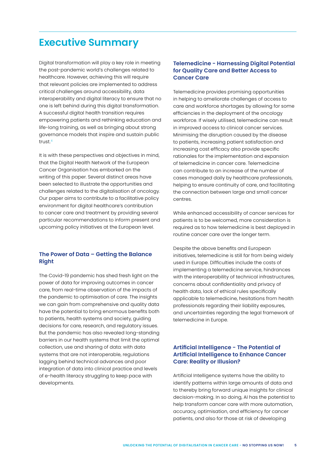# <span id="page-4-0"></span>**Executive Summary**

Digital transformation will play a key role in meeting the post-pandemic world's challenges related to healthcare. However, achieving this will require that relevant policies are implemented to address critical challenges around accessibility, data interoperability and digital literacy to ensure that no one is left behind during this digital transformation. A successful digital health transition requires empowering patients and rethinking education and life-long training, as well as bringing about strong governance models that inspire and sustain public trust.4

It is with these perspectives and objectives in mind, that the Digital Health Network of the European Cancer Organisation has embarked on the writing of this paper. Several distinct areas have been selected to illustrate the opportunities and challenges related to the digitalisation of oncology. Our paper aims to contribute to a facilitative policy environment for digital healthcare's contribution to cancer care and treatment by providing several particular recommendations to inform present and upcoming policy initiatives at the European level.

# **The Power of Data – Getting the Balance Right**

The Covid-19 pandemic has shed fresh light on the power of data for improving outcomes in cancer care, from real-time observation of the impacts of the pandemic to optimisation of care. The insights we can gain from comprehensive and quality data have the potential to bring enormous benefits both to patients, health systems and society, guiding decisions for care, research, and regulatory issues. But the pandemic has also revealed long-standing barriers in our health systems that limit the optimal collection, use and sharing of data: with data systems that are not interoperable, regulations lagging behind technical advances and poor integration of data into clinical practice and levels of e-health literacy struggling to keep pace with developments.

# **Telemedicine - Harnessing Digital Potential for Quality Care and Better Access to Cancer Care**

Telemedicine provides promising opportunities in helping to ameliorate challenges of access to care and workforce shortages by allowing for some efficiencies in the deployment of the oncology workforce. If wisely utilised, telemedicine can result in improved access to clinical cancer services. Minimising the disruption caused by the disease to patients, increasing patient satisfaction and increasing cost efficacy also provide specific rationales for the implementation and expansion of telemedicine in cancer care. Telemedicine can contribute to an increase of the number of cases managed daily by healthcare professionals, helping to ensure continuity of care, and facilitating the connection between large and small cancer centres.

While enhanced accessibility of cancer services for patients is to be welcomed, more consideration is required as to how telemedicine is best deployed in routine cancer care over the longer term.

Despite the above benefits and European initiatives, telemedicine is still far from being widely used in Europe. Difficulties include the costs of implementing a telemedicine service, hindrances with the interoperability of technical infrastructures, concerns about confidentiality and privacy of health data, lack of ethical rules specifically applicable to telemedicine, hesitations from health professionals regarding their liability exposures, and uncertainties regarding the legal framework of telemedicine in Europe.

# **Artificial Intelligence - The Potential of Artificial Intelligence to Enhance Cancer Care: Reality or Illusion?**

Artificial Intelligence systems have the ability to identify patterns within large amounts of data and to thereby bring forward unique insights for clinical decision-making. In so doing, AI has the potential to help transform cancer care with more automation, accuracy, optimisation, and efficiency for cancer patients, and also for those at risk of developing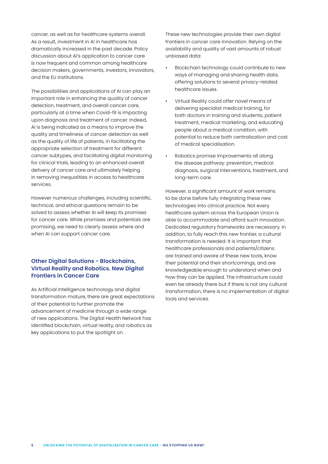cancer, as well as for healthcare systems overall. As a result, investment in AI in healthcare has dramatically increased in the past decade. Policy discussion about AI's application to cancer care is now frequent and common among healthcare decision makers, governments, investors, innovators, and the EU institutions.

The possibilities and applications of AI can play an important role in enhancing the quality of cancer detection, treatment, and overall cancer care, particularly at a time when Covid-19 is impacting upon diagnosis and treatment of cancer. Indeed, AI is being indicated as a means to improve the quality and timeliness of cancer detection as well as the quality of life of patients, in facilitating the appropriate selection of treatment for different cancer subtypes, and facilitating digital monitoring for clinical trials, leading to an enhanced overall delivery of cancer care and ultimately helping in removing inequalities in access to healthcare services.

However numerous challenges, including scientific, technical, and ethical questions remain to be solved to assess whether AI will keep its promises for cancer care. While promises and potentials are promising, we need to clearly assess where and when AI can support cancer care.

# **Other Digital Solutions - Blockchains, Virtual Reality and Robotics. New Digital Frontiers in Cancer Care**

As Artificial Intelligence technology and digital transformation mature, there are great expectations of their potential to further promote the advancement of medicine through a wide range of new applications. The Digital Health Network has identified blockchain, virtual reality, and robotics as key applications to put the spotlight on.

These new technologies provide their own digital frontiers in cancer care innovation. Relying on the availability and quality of vast amounts of robust unbiased data:

- Blockchain technology could contribute to new ways of managing and sharing health data, offering solutions to several privacy-related healthcare issues.
- Virtual Reality could offer novel means of delivering specialist medical training, for both doctors in training and students, patient treatment, medical marketing, and educating people about a medical condition, with potential to reduce both centralisation and cost of medical specialisation.
- Robotics promise improvements all along the disease pathway: prevention, medical diagnosis, surgical interventions, treatment, and long-term care.

However, a significant amount of work remains to be done before fully integrating these new technologies into clinical practice. Not every healthcare system across the European Union is able to accommodate and afford such innovation. Dedicated regulatory frameworks are necessary. In addition, to fully reach this new frontier, a cultural transformation is needed. It is important that healthcare professionals and patients/citizens are trained and aware of these new tools, know their potential and their shortcomings, and are knowledgeable enough to understand when and how they can be applied. The infrastructure could even be already there but if there is not any cultural transformation, there is no implementation of digital tools and services.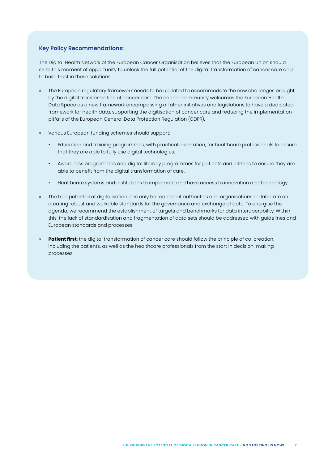### **Key Policy Recommendations:**

The Digital Health Network of the European Cancer Organisation believes that the European Union should seize this moment of opportunity to unlock the full potential of the digital transformation of cancer care and to build trust in these solutions.

- » The European regulatory framework needs to be updated to accommodate the new challenges brought by the digital transformation of cancer care. The cancer community welcomes the European Health Data Space as a new framework encompassing all other initiatives and legislations to have a dedicated framework for health data, supporting the digitisation of cancer care and reducing the implementation pitfalls of the European General Data Protection Regulation (GDPR).
- » Various European funding schemes should support:
	- Education and training programmes, with practical orientation, for healthcare professionals to ensure that they are able to fully use digital technologies.
	- Awareness programmes and digital literacy programmes for patients and citizens to ensure they are able to benefit from the digital transformation of care.
	- Healthcare systems and institutions to implement and have access to innovation and technology.
- » The true potential of digitalisation can only be reached if authorities and organisations collaborate on creating robust and workable standards for the governance and exchange of data. To energise the agenda, we recommend the establishment of targets and benchmarks for data interoperability. Within this, the lack of standardisation and fragmentation of data sets should be addressed with guidelines and European standards and processes.
- **Patient first**: the digital transformation of cancer care should follow the principle of co-creation, including the patients, as well as the healthcare professionals from the start in decision-making processes.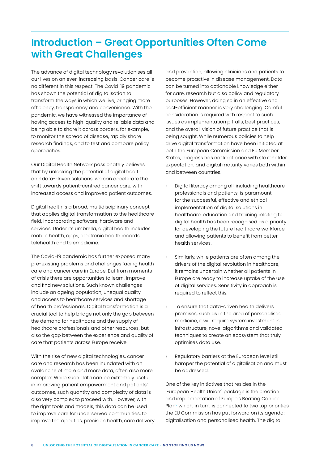# <span id="page-7-0"></span>**Introduction – Great Opportunities Often Come with Great Challenges**

The advance of digital technology revolutionises all our lives on an ever-increasing basis. Cancer care is no different in this respect. The Covid-19 pandemic has shown the potential of digitalisation to transform the ways in which we live, bringing more efficiency, transparency and convenience. With the pandemic, we have witnessed the importance of having access to high-quality and reliable data and being able to share it across borders, for example, to monitor the spread of disease, rapidly share research findings, and to test and compare policy approaches.

Our Digital Health Network passionately believes that by unlocking the potential of digital health and data-driven solutions, we can accelerate the shift towards patient-centred cancer care, with increased access and improved patient outcomes.

Digital health is a broad, multidisciplinary concept that applies digital transformation to the healthcare field, incorporating software, hardware and services. Under its umbrella, digital health includes mobile health, apps, electronic health records, telehealth and telemedicine.

The Covid-19 pandemic has further exposed many pre-existing problems and challenges facing health care and cancer care in Europe. But from moments of crisis there are opportunities to learn, improve and find new solutions. Such known challenges include an ageing population, unequal quality and access to healthcare services and shortage of health professionals. Digital transformation is a crucial tool to help bridge not only the gap between the demand for healthcare and the supply of healthcare professionals and other resources, but also the gap between the experience and quality of care that patients across Europe receive.

With the rise of new digital technologies, cancer care and research has been inundated with an avalanche of more and more data, often also more complex. While such data can be extremely useful in improving patient empowerment and patients' outcomes, such quantity and complexity of data is also very complex to proceed with. However, with the right tools and models, this data can be used to improve care for underserved communities, to improve therapeutics, precision health, care delivery and prevention, allowing clinicians and patients to become proactive in disease management. Data can be turned into actionable knowledge either for care, research but also policy and regulatory purposes. However, doing so in an effective and cost-efficient manner is very challenging. Careful consideration is required with respect to such issues as implementation pitfalls, best practices, and the overall vision of future practice that is being sought. While numerous policies to help drive digital transformation have been initiated at both the European Commission and EU Member States, progress has not kept pace with stakeholder expectation, and digital maturity varies both within and between countries.

- » Digital literacy among all, including healthcare professionals and patients, is paramount for the successful, effective and ethical implementation of digital solutions in healthcare: education and training relating to digital health has been recognised as a priority for developing the future healthcare workforce and allowing patients to benefit from better health services.
- Similarly, while patients are often among the drivers of the digital revolution in healthcare, it remains uncertain whether all patients in Europe are ready to increase uptake of the use of digital services. Sensitivity in approach is required to reflect this.
- To ensure that data-driven health delivers promises, such as in the area of personalised medicine, it will require system investment in infrastructure, novel algorithms and validated techniques to create an ecosystem that truly optimises data use.
- Regulatory barriers at the European level still hamper the potential of digitalisation and must be addressed.

One of the key initiatives that resides in the 'European Health Union'1 package is the creation and implementation of Europe's Beating Cancer Plan<sup>2</sup> which, in turn, is connected to two top priorities the EU Commission has put forward on its agenda: digitalisation and personalised health. The digital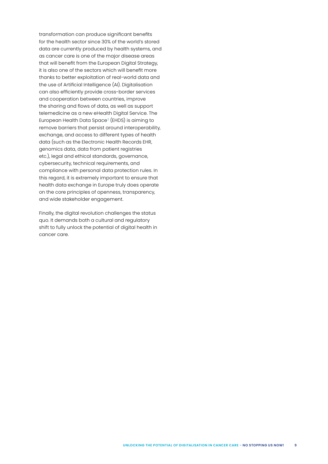transformation can produce significant benefits for the health sector since 30% of the world's stored data are currently produced by health systems, and as cancer care is one of the major disease areas that will benefit from the European Digital Strategy, it is also one of the sectors which will benefit more thanks to better exploitation of real-world data and the use of Artificial Intelligence (AI). Digitalisation can also efficiently provide cross-border services and cooperation between countries, improve the sharing and flows of data, as well as support telemedicine as a new eHealth Digital Service. The European Health Data Space<sup>3</sup> (EHDS) is aiming to remove barriers that persist around interoperability, exchange, and access to different types of health data (such as the Electronic Health Records EHR, genomics data, data from patient registries etc.), legal and ethical standards, governance, cybersecurity, technical requirements, and compliance with personal data protection rules. In this regard, it is extremely important to ensure that health data exchange in Europe truly does operate on the core principles of openness, transparency, and wide stakeholder engagement.

Finally, the digital revolution challenges the status quo. It demands both a cultural and regulatory shift to fully unlock the potential of digital health in cancer care.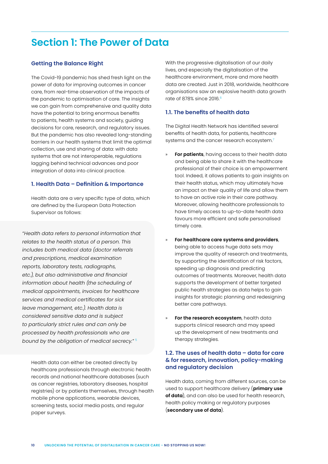# <span id="page-9-0"></span>**Section 1: The Power of Data**

# **Getting the Balance Right**

The Covid-19 pandemic has shed fresh light on the power of data for improving outcomes in cancer care, from real-time observation of the impacts of the pandemic to optimisation of care. The insights we can gain from comprehensive and quality data have the potential to bring enormous benefits to patients, health systems and society, guiding decisions for care, research, and regulatory issues. But the pandemic has also revealed long-standing barriers in our health systems that limit the optimal collection, use and sharing of data: with data systems that are not interoperable, regulations lagging behind technical advances and poor integration of data into clinical practice.

#### **1. Health Data – Definition & Importance**

Health data are a very specific type of data, which are defined by the European Data Protection Supervisor as follows:

*"Health data refers to personal information that relates to the health status of a person. This includes both medical data (doctor referrals and prescriptions, medical examination reports, laboratory tests, radiographs, etc.), but also administrative and financial information about health (the scheduling of medical appointments, invoices for healthcare services and medical certificates for sick leave management, etc.). Health data is considered sensitive data and is subject to particularly strict rules and can only be processed by health professionals who are bound by the obligation of medical secrecy."* <sup>5</sup>

Health data can either be created directly by healthcare professionals through electronic health records and national healthcare databases (such as cancer registries, laboratory diseases, hospital registries) or by patients themselves, through health mobile phone applications, wearable devices, screening tests, social media posts, and regular paper surveys.

With the progressive digitalisation of our daily lives, and especially the digitalisation of the healthcare environment, more and more health data are created. Just in 2018, worldwide, healthcare organisations saw an explosive health data growth rate of 878% since 2016.<sup>6</sup>

# **1.1. The benefits of health data**

The Digital Health Network has identified several benefits of health data, for patients, healthcare systems and the cancer research ecosystem.<sup>7</sup>

- **For patients**, having access to their health data and being able to share it with the healthcare professional of their choice is an empowerment tool. Indeed, it allows patients to gain insights on their health status, which may ultimately have an impact on their quality of life and allow them to have an active role in their care pathway. Moreover, allowing healthcare professionals to have timely access to up-to-date health data favours more efficient and safe personalised timely care.
- » **For healthcare care systems and providers**, being able to access huge data sets may improve the quality of research and treatments, by supporting the identification of risk factors, speeding up diagnosis and predicting outcomes of treatments. Moreover, health data supports the development of better targeted public health strategies as data helps to gain insights for strategic planning and redesigning better care pathways.
- For the research ecosystem, health data supports clinical research and may speed up the development of new treatments and therapy strategies.

# **1.2. The uses of health data – data for care & for research, innovation, policy-making and regulatory decision**

Health data, coming from different sources, can be used to support healthcare delivery (**primary use of data**), and can also be used for health research, health policy making or regulatory purposes (**secondary use of data**).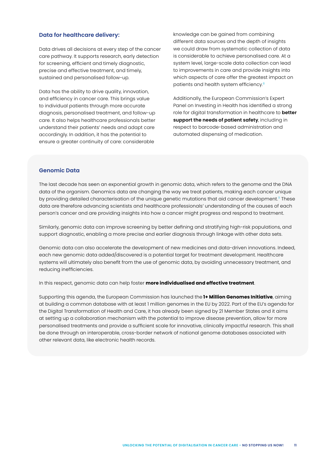#### **Data for healthcare delivery:**

Data drives all decisions at every step of the cancer care pathway. It supports research, early detection for screening, efficient and timely diagnostic, precise and effective treatment, and timely, sustained and personalised follow-up.

Data has the ability to drive quality, innovation, and efficiency in cancer care. This brings value to individual patients through more accurate diagnosis, personalised treatment, and follow-up care. It also helps healthcare professionals better understand their patients' needs and adapt care accordingly. In addition, it has the potential to ensure a greater continuity of care: considerable

knowledge can be gained from combining different data sources and the depth of insights we could draw from systematic collection of data is considerable to achieve personalised care. At a system level, large-scale data collection can lead to improvements in care and provide insights into which aspects of care offer the greatest impact on patients and health system efficiency.<sup>8</sup>

Additionally, the European Commission's Expert Panel on Investing in Health has identified a strong role for digital transformation in healthcare to **better support the needs of patient safety**, including in respect to barcode-based administration and automated dispensing of medication.

# **Genomic Data**

The last decade has seen an exponential growth in genomic data, which refers to the genome and the DNA data of the organism. Genomics data are changing the way we treat patients, making each cancer unique by providing detailed characterisation of the unique genetic mutations that aid cancer development.<sup>9</sup> These data are therefore advancing scientists and healthcare professionals' understanding of the causes of each person's cancer and are providing insights into how a cancer might progress and respond to treatment.

Similarly, genomic data can improve screening by better defining and stratifying high-risk populations, and support diagnostic, enabling a more precise and earlier diagnosis through linkage with other data sets.

Genomic data can also accelerate the development of new medicines and data-driven innovations. Indeed, each new genomic data added/discovered is a potential target for treatment development. Healthcare systems will ultimately also benefit from the use of genomic data, by avoiding unnecessary treatment, and reducing inefficiencies.

In this respect, genomic data can help foster **more individualised and effective treatment**.

Supporting this agenda, the European Commission has launched the **1+ Million Genomes Initiative**, aiming at building a common database with at least 1 million genomes in the EU by 2022. Part of the EU's agenda for the Digital Transformation of Health and Care, it has already been signed by 21 Member States and it aims at setting up a collaboration mechanism with the potential to improve disease prevention, allow for more personalised treatments and provide a sufficient scale for innovative, clinically impactful research. This shall be done through an interoperable, cross-border network of national genome databases associated with other relevant data, like electronic health records.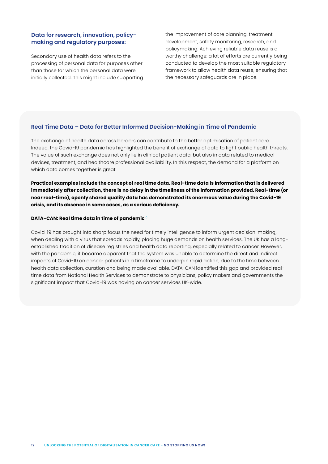# **Data for research, innovation, policymaking and regulatory purposes:**

Secondary use of health data refers to the processing of personal data for purposes other than those for which the personal data were initially collected. This might include supporting the improvement of care planning, treatment development, safety monitoring, research, and policymaking. Achieving reliable data reuse is a worthy challenge: a lot of efforts are currently being conducted to develop the most suitable regulatory framework to allow health data reuse, ensuring that the necessary safeguards are in place.

#### **Real Time Data – Data for Better Informed Decision-Making in Time of Pandemic**

The exchange of health data across borders can contribute to the better optimisation of patient care. Indeed, the Covid-19 pandemic has highlighted the benefit of exchange of data to fight public health threats. The value of such exchange does not only lie in clinical patient data, but also in data related to medical devices, treatment, and healthcare professional availability. In this respect, the demand for a platform on which data comes together is great.

**Practical examples include the concept of real time data. Real-time data is information that is delivered immediately after collection, there is no delay in the timeliness of the information provided. Real-time (or near real-time), openly shared quality data has demonstrated its enormous value during the Covid-19 crisis, and its absence in some cases, as a serious deficiency.**

#### **DATA-CAN: Real time data in time of pandemic**<sup>10</sup>

Covid-19 has brought into sharp focus the need for timely intelligence to inform urgent decision-making, when dealing with a virus that spreads rapidly, placing huge demands on health services. The UK has a longestablished tradition of disease registries and health data reporting, especially related to cancer. However, with the pandemic, it became apparent that the system was unable to determine the direct and indirect impacts of Covid-19 on cancer patients in a timeframe to underpin rapid action, due to the time between health data collection, curation and being made available. DATA-CAN identified this gap and provided realtime data from National Health Services to demonstrate to physicians, policy makers and governments the significant impact that Covid-19 was having on cancer services UK-wide.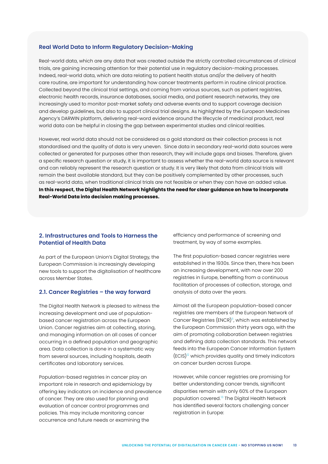#### **Real World Data to Inform Regulatory Decision-Making**

Real-world data, which are any data that was created outside the strictly controlled circumstances of clinical trials, are gaining increasing attention for their potential use in regulatory decision-making processes. Indeed, real-world data, which are data relating to patient health status and/or the delivery of health care routine, are important for understanding how cancer treatments perform in routine clinical practice. Collected beyond the clinical trial settings, and coming from various sources, such as patient registries, electronic health records, insurance databases, social media, and patient research networks, they are increasingly used to monitor post-market safety and adverse events and to support coverage decision and develop guidelines, but also to support clinical trial designs. As highlighted by the European Medicines Agency's DARWIN platform, delivering real-word evidence around the lifecycle of medicinal product, real world data can be helpful in closing the gap between experimental studies and clinical realities.

However, real world data should not be considered as a gold standard as their collection process is not standardised and the quality of data is very uneven. Since data in secondary real-world data sources were collected or generated for purposes other than research, they will include gaps and biases. Therefore, given a specific research question or study, it is important to assess whether the real-world data source is relevant and can reliably represent the research question or study. It is very likely that data from clinical trials will remain the best available standard, but they can be positively complemented by other processes, such as real-world data, when traditional clinical trials are not feasible or when they can have an added value. **In this respect, the Digital Health Network highlights the need for clear guidance on how to incorporate Real-World Data into decision making processes.** 

### **2. Infrastructures and Tools to Harness the Potential of Health Data**

As part of the European Union's Digital Strategy, the European Commission is increasingly developing new tools to support the digitalisation of healthcare across Member States.

#### **2.1. Cancer Registries – the way forward**

The Digital Health Network is pleased to witness the increasing development and use of populationbased cancer registration across the European Union. Cancer registries aim at collecting, storing, and managing information on all cases of cancer occurring in a defined population and geographic area. Data collection is done in a systematic way from several sources, including hospitals, death certificates and laboratory services.

Population-based registries in cancer play an important role in research and epidemiology by offering key indicators on incidence and prevalence of cancer. They are also used for planning and evaluation of cancer control programmes and policies. This may include monitoring cancer occurrence and future needs or examining the

efficiency and performance of screening and treatment, by way of some examples.

The first population-based cancer registries were established in the 1930s. Since then, there has been an increasing development, with now over 200 registries in Europe, benefiting from a continuous facilitation of processes of collection, storage, and analysis of data over the years.

Almost all the European population-based cancer registries are members of the European Network of Cancer Registries (ENCR)<sup>11</sup>, which was established by the European Commission thirty years ago, with the aim of promoting collaboration between registries and defining data collection standards. This network feeds into the European Cancer Information System  $(ECIS)^{12}$  which provides quality and timely indicators on cancer burden across Europe.

However, while cancer registries are promising for better understanding cancer trends, significant disparities remain with only 60% of the European population covered.13 The Digital Health Network has identified several factors challenging cancer registration in Europe: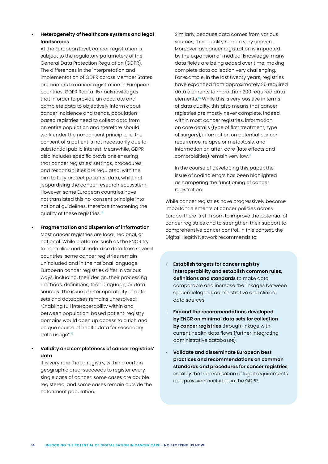# **• Heterogeneity of healthcare systems and legal landscapes**

At the European level, cancer registration is subject to the regulatory parameters of the General Data Protection Regulation (GDPR). The differences in the interpretation and implementation of GDPR across Member States are barriers to cancer registration in European countries. GDPR Recital 157 acknowledges that in order to provide an accurate and complete data to objectively inform about cancer incidence and trends, populationbased registries need to collect data from an entire population and therefore should work under the no-consent principle, ie. the consent of a patient is not necessarily due to substantial public interest. Meanwhile, GDPR also includes specific provisions ensuring that cancer registries' settings, procedures and responsibilities are regulated, with the aim to fully protect patients' data, while not jeopardising the cancer research ecosystem. However, some European countries have not translated this no-consent principle into national guidelines, therefore threatening the quality of these registries.<sup>14</sup>

**• Fragmentation and dispersion of information** Most cancer registries are local, regional, or national. While platforms such as the ENCR try to centralise and standardise data from several countries, some cancer registries remain unincluded and in the national language. European cancer registries differ in various ways, including, their design, their processing methods, definitions, their language, or data sources. The issue of inter operability of data sets and databases remains unresolved: "Enabling full interoperability within and between population-based patient-registry domains would open up access to a rich and unique source of health data for secondary data usage".15

# **• Validity and completeness of cancer registries' data**

It is very rare that a registry, within a certain geographic area, succeeds to register every single case of cancer: some cases are double registered, and some cases remain outside the catchment population.

Similarly, because data comes from various sources, their quality remain very uneven. Moreover, as cancer registration is impacted by the expansion of medical knowledge, many data fields are being added over time, making complete data collection very challenging. For example, in the last twenty years, registries have expanded from approximately 25 required data elements to more than 200 required data elements.<sup>16</sup> While this is very positive in terms of data quality, this also means that cancer registries are mostly never complete. Indeed, within most cancer registries, information on care details (type of first treatment, type of surgery), information on potential cancer recurrence, relapse or metastasis, and information on after-care (late effects and comorbidities) remain very low.<sup>17</sup>

In the course of developing this paper, the issue of coding errors has been highlighted as hampering the functioning of cancer registration.

While cancer registries have progressively become important elements of cancer policies across Europe, there is still room to improve the potential of cancer registries and to strengthen their support to comprehensive cancer control. In this context, the Digital Health Network recommends to:

- » **Establish targets for cancer registry interoperability and establish common rules, definitions and standards** to make data comparable and increase the linkages between epidemiological, administrative and clinical data sources.
- » **Expand the recommendations developed by ENCR on minimal data sets for collection by cancer registries** through linkage with current health data flows (further integrating administrative databases).
- » **Validate and disseminate European best practices and recommendations on common standards and procedures for cancer registries**, notably the harmonisation of legal requirements and provisions included in the GDPR.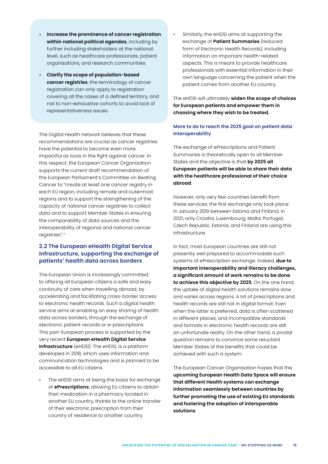- » **Increase the prominence of cancer registration within national political agendas**, including by further including stakeholders at the national level, such as healthcare professionals, patient organisations, and research communities.
- » **Clarify the scope of population-based cancer registries**: the terminology of cancer registration can only apply to registration covering all the cases of a defined territory, and not to non-exhaustive cohorts to avoid lack of representativeness issues.

The Digital Health network believes that these recommendations are crucial as cancer registries have the potential to become even more impactful as tools in the fight against cancer. In this respect, the European Cancer Organisation supports the current draft recommendation of the European Parliament's Committee on Beating Cancer to "create at least one cancer registry in each EU region, including remote and outermost regions and to support the strengthening of the capacity of national cancer registries to collect data and to support Member States in ensuring the comparability of data sources and the interoperability of regional and national cancer registries".<sup>18</sup>

# **2.2 The European eHealth Digital Service Infrastructure, supporting the exchange of patients' health data across borders**

The European Union is increasingly committed to offering all European citizens a safe and easy continuity of care when travelling abroad, by accelerating and facilitating cross-border access to electronic health records. Such a digital health service aims at enabling an easy sharing of health data across borders, through the exchange of electronic patient records or e-prescriptions. This pan-European process is supported by the very recent **European eHealth Digital Service Infrastructure** (eHDSI). The eHDSI, is a platform developed in 2018, which uses information and communication technologies and is planned to be accessible to all EU citizens.

The eHDSI aims at being the basis for exchange of **ePrescriptions**, allowing EU citizens to obtain their medication in a pharmacy located in another EU country, thanks to the online transfer of their electronic prescription from their country of residence to another country.

• Similarly, the eHDSI aims at supporting the exchange of **Patient Summaries** (reduced form of Electronic Health Records), including information on important health-related aspects. This is meant to provide healthcare professionals with essential information in their own language concerning the patient when the patient comes from another EU country.

The eHDSI will ultimately **widen the scope of choices for European patients and empower them in choosing where they wish to be treated.** 

# **More to do to reach the 2025 goal on patient data interoperability**

The exchange of ePrescriptions and Patient Summaries is theoretically open to all Member States and the objective is that **by 2025 all European patients will be able to share their data with the healthcare professional of their choice abroad**.

However, only very few countries benefit from these services: the first exchange only took place in January 2019 between Estonia and Finland. In 2021, only Croatia, Luxembourg, Malta, Portugal, Czech Republic, Estonia, and Finland are using this infrastructure.

In fact, most European countries are still not presently well prepared to accommodate such systems of ePrescription exchange. Indeed, **due to important interoperability and literacy challenges, a significant amount of work remains to be done to achieve this objective by 2025**. On the one hand, the uptake of digital health solutions remains slow and varies across regions. A lot of prescriptions and health records are still not in digital format. Even when the latter is preferred, data is often scattered in different places, and incompatible standards and formats in electronic health records are still an unfortunate reality. On the other hand, a pivotal question remains to convince some reluctant Member States of the benefits that could be achieved with such a system.

The European Cancer Organisation hopes that the **upcoming European Health Data Space will ensure that different Health systems can exchange information seamlessly between countries by further promoting the use of existing EU standards and fostering the adoption of interoperable solutions**.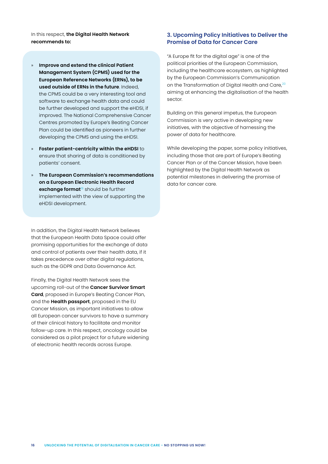In this respect, **the Digital Health Network recommends to:**

- » **Improve and extend the clinical Patient Management System (CPMS) used for the European Reference Networks (ERNs), to be used outside of ERNs in the future**. Indeed, the CPMS could be a very interesting tool and software to exchange health data and could be further developed and support the eHDSI, if improved. The National Comprehensive Cancer Centres promoted by Europe's Beating Cancer Plan could be identified as pioneers in further developing the CPMS and using the eHDSI.
- » **Foster patient-centricity within the eHDSI** to ensure that sharing of data is conditioned by patients' consent.
- » **The European Commission's recommendations on a European Electronic Health Record exchange format**<sup>19</sup> should be further implemented with the view of supporting the eHDSI development.

In addition, the Digital Health Network believes that the European Health Data Space could offer promising opportunities for the exchange of data and control of patients over their health data, if it takes precedence over other digital regulations, such as the GDPR and Data Governance Act.

Finally, the Digital Health Network sees the upcoming roll-out of the **Cancer Survivor Smart Card**, proposed in Europe's Beating Cancer Plan, and the **Health passport**, proposed in the EU Cancer Mission, as important initiatives to allow all European cancer survivors to have a summary of their clinical history to facilitate and monitor follow-up care. In this respect, oncology could be considered as a pilot project for a future widening of electronic health records across Europe.

# **3. Upcoming Policy Initiatives to Deliver the Promise of Data for Cancer Care**

"A Europe fit for the digital age" is one of the political priorities of the European Commission, including the healthcare ecosystem, as highlighted by the European Commission's Communication on the Transformation of Digital Health and Care,<sup>20</sup> aiming at enhancing the digitalisation of the health sector.

Building on this general impetus, the European Commission is very active in developing new initiatives, with the objective of harnessing the power of data for healthcare.

While developing the paper, some policy initiatives, including those that are part of Europe's Beating Cancer Plan or of the Cancer Mission, have been highlighted by the Digital Health Network as potential milestones in delivering the promise of data for cancer care.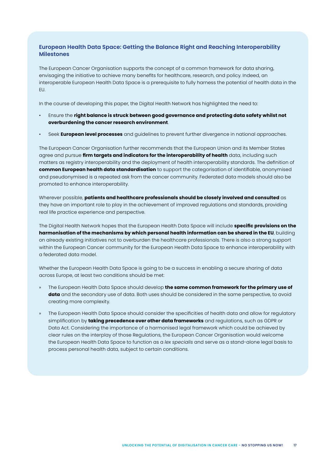# **European Health Data Space: Getting the Balance Right and Reaching Interoperability Milestones**

The European Cancer Organisation supports the concept of a common framework for data sharing, envisaging the initiative to achieve many benefits for healthcare, research, and policy. Indeed, an interoperable European Health Data Space is a prerequisite to fully harness the potential of health data in the EU.

In the course of developing this paper, the Digital Health Network has highlighted the need to:

- Ensure the **right balance is struck between good governance and protecting data safety whilst not overburdening the cancer research environment**.
- Seek **European level processes** and guidelines to prevent further divergence in national approaches.

The European Cancer Organisation further recommends that the European Union and its Member States agree and pursue **firm targets and indicators for the interoperability of health** data, including such matters as registry interoperability and the deployment of health interoperability standards. The definition of **common European health data standardisation** to support the categorisation of identifiable, anonymised and pseudonymised is a repeated ask from the cancer community. Federated data models should also be promoted to enhance interoperability.

Wherever possible, **patients and healthcare professionals should be closely involved and consulted** as they have an important role to play in the achievement of improved regulations and standards, providing real life practice experience and perspective.

The Digital Health Network hopes that the European Health Data Space will include **specific provisions on the harmonisation of the mechanisms by which personal health information can be shared in the EU**, building on already existing initiatives not to overburden the healthcare professionals. There is also a strong support within the European Cancer community for the European Health Data Space to enhance interoperability with a federated data model.

Whether the European Health Data Space is going to be a success in enabling a secure sharing of data across Europe, at least two conditions should be met:

- » The European Health Data Space should develop **the same common framework for the primary use of data** and the secondary use of data. Both uses should be considered in the same perspective, to avoid creating more complexity.
- » The European Health Data Space should consider the specificities of health data and allow for regulatory simplification by **taking precedence over other data frameworks** and regulations, such as GDPR or Data Act. Considering the importance of a harmonised legal framework which could be achieved by clear rules on the interplay of those Regulations, the European Cancer Organisation would welcome the European Health Data Space to function as a *lex specialis* and serve as a stand-alone legal basis to process personal health data, subject to certain conditions.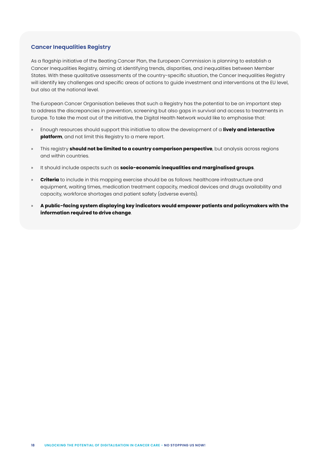### **Cancer Inequalities Registry**

As a flagship initiative of the Beating Cancer Plan, the European Commission is planning to establish a Cancer Inequalities Registry, aiming at identifying trends, disparities, and inequalities between Member States. With these qualitative assessments of the country-specific situation, the Cancer Inequalities Registry will identify key challenges and specific areas of actions to guide investment and interventions at the EU level, but also at the national level.

The European Cancer Organisation believes that such a Registry has the potential to be an important step to address the discrepancies in prevention, screening but also gaps in survival and access to treatments in Europe. To take the most out of the initiative, the Digital Health Network would like to emphasise that:

- » Enough resources should support this initiative to allow the development of a **lively and interactive platform**, and not limit this Registry to a mere report.
- » This registry **should not be limited to a country comparison perspective**, but analysis across regions and within countries.
- » It should include aspects such as **socio-economic inequalities and marginalised groups**.
- » **Criteria** to include in this mapping exercise should be as follows: healthcare infrastructure and equipment, waiting times, medication treatment capacity, medical devices and drugs availability and capacity, workforce shortages and patient safety (adverse events).
- » **A public-facing system displaying key indicators would empower patients and policymakers with the information required to drive change**.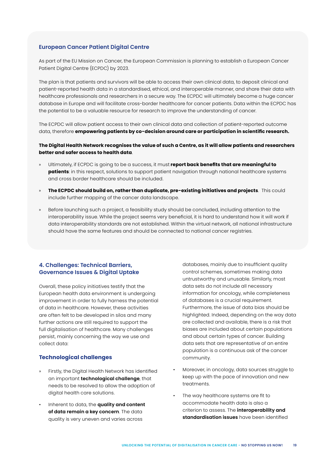### **European Cancer Patient Digital Centre**

As part of the EU Mission on Cancer, the European Commission is planning to establish a European Cancer Patient Digital Centre (ECPDC) by 2023.

The plan is that patients and survivors will be able to access their own clinical data, to deposit clinical and patient-reported health data in a standardised, ethical, and interoperable manner, and share their data with healthcare professionals and researchers in a secure way. The ECPDC will ultimately become a huge cancer database in Europe and will facilitate cross-border healthcare for cancer patients. Data within the ECPDC has the potential to be a valuable resource for research to improve the understanding of cancer.

The ECPDC will allow patient access to their own clinical data and collection of patient-reported outcome data, therefore **empowering patients by co-decision around care or participation in scientific research.**

#### **The Digital Health Network recognises the value of such a Centre, as it will allow patients and researchers better and safer access to health data**.

- » Ultimately, if ECPDC is going to be a success, it must **report back benefits that are meaningful to patients**: in this respect, solutions to support patient navigation through national healthcare systems and cross border healthcare should be included.
- » **The ECPDC should build on, rather than duplicate, pre-existing initiatives and projects**. This could include further mapping of the cancer data landscape.
- » Before launching such a project, a feasibility study should be concluded, including attention to the interoperability issue. While the project seems very beneficial, it is hard to understand how it will work if data interoperability standards are not established. Within the virtual network, all national infrastructure should have the same features and should be connected to national cancer registries.

# **4. Challenges: Technical Barriers, Governance Issues & Digital Uptake**

Overall, these policy initiatives testify that the European health data environment is undergoing improvement in order to fully harness the potential of data in healthcare. However, these activities are often felt to be developed in silos and many further actions are still required to support the full digitalisation of healthcare. Many challenges persist, mainly concerning the way we use and collect data:

#### **Technological challenges**

- » Firstly, the Digital Health Network has identified an important **technological challenge**, that needs to be resolved to allow the adoption of digital health care solutions.
- Inherent to data, the **quality and content of data remain a key concern**. The data quality is very uneven and varies across

databases, mainly due to insufficient quality control schemes, sometimes making data untrustworthy and unusable. Similarly, most data sets do not include all necessary information for oncology, while completeness of databases is a crucial requirement. Furthermore, the issue of data bias should be highlighted. Indeed, depending on the way data are collected and available, there is a risk that biases are included about certain populations and about certain types of cancer. Building data sets that are representative of an entire population is a continuous ask of the cancer community.

- Moreover, in oncology, data sources struggle to keep up with the pace of innovation and new treatments.
- The way healthcare systems are fit to accommodate health data is also a criterion to assess. The **interoperability and standardisation issues** have been identified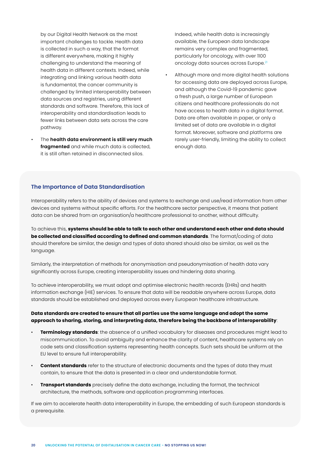by our Digital Health Network as the most important challenges to tackle. Health data is collected in such a way, that the format is different everywhere, making it highly challenging to understand the meaning of health data in different contexts. Indeed, while integrating and linking various health data is fundamental, the cancer community is challenged by limited interoperability between data sources and registries, using different standards and software. Therefore, this lack of interoperability and standardisation leads to fewer links between data sets across the care pathway.

• The **health data environment is still very much fragmented** and while much data is collected, it is still often retained in disconnected silos.

Indeed, while health data is increasingly available, the European data landscape remains very complex and fragmented, particularly for oncology, with over 1100 oncology data sources across Europe.<sup>21</sup>

• Although more and more digital health solutions for accessing data are deployed across Europe, and although the Covid-19 pandemic gave a fresh push, a large number of European citizens and healthcare professionals do not have access to health data in a digital format. Data are often available in paper, or only a limited set of data are available in a digital format. Moreover, software and platforms are rarely user-friendly, limiting the ability to collect enough data.

#### **The Importance of Data Standardisation**

Interoperability refers to the ability of devices and systems to exchange and use/read information from other devices and systems without specific efforts. For the healthcare sector perspective, it means that patient data can be shared from an organisation/a healthcare professional to another, without difficulty.

To achieve this, **systems should be able to talk to each other and understand each other and data should be collected and classified according to defined and common standards**. The format/coding of data should therefore be similar, the design and types of data shared should also be similar, as well as the language.

Similarly, the interpretation of methods for anonymisation and pseudonymisation of health data vary significantly across Europe, creating interoperability issues and hindering data sharing.

To achieve interoperability, we must adopt and optimise electronic health records (EHRs) and health information exchange (HIE) services. To ensure that data will be readable anywhere across Europe, data standards should be established and deployed across every European healthcare infrastructure.

# **Data standards are created to ensure that all parties use the same language and adopt the same approach to sharing, storing, and interpreting data, therefore being the backbone of interoperability**:

- **Terminology standards**: the absence of a unified vocabulary for diseases and procedures might lead to miscommunication. To avoid ambiguity and enhance the clarity of content, healthcare systems rely on code sets and classification systems representing health concepts. Such sets should be uniform at the EU level to ensure full interoperability.
- **Content standards** refer to the structure of electronic documents and the types of data they must contain, to ensure that the data is presented in a clear and understandable format.
- **Transport standards** precisely define the data exchange, including the format, the technical architecture, the methods, software and application programming interfaces.

If we aim to accelerate health data interoperability in Europe, the embedding of such European standards is a prerequisite.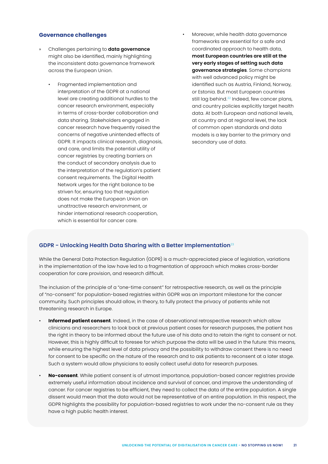#### **Governance challenges**

- » Challenges pertaining to **data governance** might also be identified, mainly highlighting the inconsistent data governance framework across the European Union.
	- Fragmented implementation and interpretation of the GDPR at a national level are creating additional hurdles to the cancer research environment, especially in terms of cross-border collaboration and data sharing. Stakeholders engaged in cancer research have frequently raised the concerns of negative unintended effects of GDPR. It impacts clinical research, diagnosis, and care, and limits the potential utility of cancer registries by creating barriers on the conduct of secondary analysis due to the interpretation of the regulation's patient consent requirements. The Digital Health Network urges for the right balance to be striven for, ensuring too that regulation does not make the European Union an unattractive research environment, or hinder international research cooperation, which is essential for cancer care.

• Moreover, while health data governance frameworks are essential for a safe and coordinated approach to health data, **most European countries are still at the very early stages of setting such data governance strategies**. Some champions with well advanced policy might be identified such as Austria, Finland, Norway, or Estonia. But most European countries still lag behind.<sup>22</sup> Indeed, few cancer plans, and country policies explicitly target health data. At both European and national levels, at country and at regional level, the lack of common open standards and data models is a key barrier to the primary and secondary use of data.

#### **GDPR - Unlocking Health Data Sharing with a Better Implementation**<sup>23</sup>

While the General Data Protection Regulation (GDPR) is a much-appreciated piece of legislation, variations in the implementation of the law have led to a fragmentation of approach which makes cross-border cooperation for care provision, and research difficult.

The inclusion of the principle of a "one-time consent" for retrospective research, as well as the principle of "no-consent" for population-based registries within GDPR was an important milestone for the cancer community. Such principles should allow, in theory, to fully protect the privacy of patients while not threatening research in Europe.

- **Informed patient consent**. Indeed, in the case of observational retrospective research which allow clinicians and researchers to look back at previous patient cases for research purposes, the patient has the right in theory to be informed about the future use of his data and to retain the right to consent or not. However, this is highly difficult to foresee for which purpose the data will be used in the future: this means, while ensuring the highest level of data privacy and the possibility to withdraw consent there is no need for consent to be specific on the nature of the research and to ask patients to reconsent at a later stage. Such a system would allow physicians to easily collect useful data for research purposes.
- **No-consent**. While patient consent is of utmost importance, population-based cancer registries provide extremely useful information about incidence and survival of cancer, and improve the understanding of cancer. For cancer registries to be efficient, they need to collect the data of the entire population. A single dissent would mean that the data would not be representative of an entire population. In this respect, the GDPR highlights the possibility for population-based registries to work under the no-consent rule as they have a high public health interest.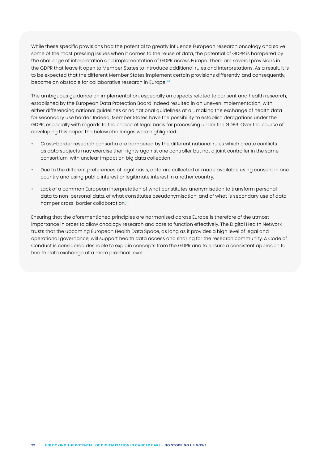While these specific provisions had the potential to greatly influence European research oncology and solve some of the most pressing issues when it comes to the reuse of data, the potential of GDPR is hampered by the challenge of interpretation and implementation of GDPR across Europe. There are several provisions in the GDPR that leave it open to Member States to introduce additional rules and interpretations. As a result, it is to be expected that the different Member States implement certain provisions differently, and consequently, become an obstacle for collaborative research in Europe.<sup>24</sup>

The ambiguous guidance on implementation, especially on aspects related to consent and health research, established by the European Data Protection Board indeed resulted in an uneven implementation, with either differencing national guidelines or no national guidelines at all, making the exchange of health data for secondary use harder. Indeed, Member States have the possibility to establish derogations under the GDPR, especially with regards to the choice of legal basis for processing under the GDPR. Over the course of developing this paper, the below challenges were highlighted:

- Cross-border research consortia are hampered by the different national rules which create conflicts as data subjects may exercise their rights against one controller but not a joint controller in the same consortium, with unclear impact on big data collection.
- Due to the different preferences of legal basis, data are collected or made available using consent in one country and using public interest or legitimate interest in another country.
- Lack of a common European interpretation of what constitutes anonymisation to transform personal data to non-personal data, of what constitutes pseudonymisation, and of what is secondary use of data hamper cross-border collaboration.25

Ensuring that the aforementioned principles are harmonised across Europe is therefore of the utmost importance in order to allow oncology research and care to function effectively. The Digital Health Network trusts that the upcoming European Health Data Space, as long as it provides a high level of legal and operational governance, will support health data access and sharing for the research community. A Code of Conduct is considered desirable to explain concepts from the GDPR and to ensure a consistent approach to health data exchange at a more practical level.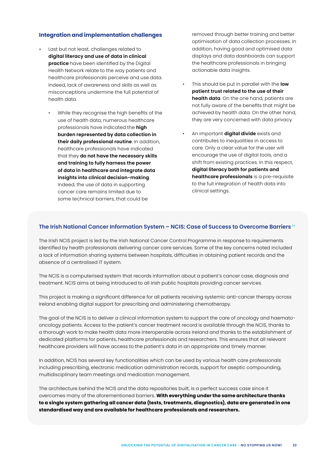# **Integration and implementation challenges**

- Last but not least, challenges related to **digital literacy and use of data in clinical practice** have been identified by the Digital Health Network relate to the way patients and healthcare professionals perceive and use data. Indeed, lack of awareness and skills as well as misconceptions undermine the full potential of health data.
	- While they recognise the high benefits of the use of health data, numerous healthcare professionals have indicated the **high burden represented by data collection in their daily professional routine**. In addition, healthcare professionals have indicated that they **do not have the necessary skills and training to fully harness the power of data in healthcare and integrate data insights into clinical decision-making**. Indeed, the use of data in supporting cancer care remains limited due to some technical barriers, that could be

removed through better training and better optimisation of data collection processes. In addition, having good and optimised data displays and data dashboards can support the healthcare professionals in bringing actionable data insights.

- This should be put in parallel with the **low patient trust related to the use of their health data**. On the one hand, patients are not fully aware of the benefits that might be achieved by health data. On the other hand, they are very concerned with data privacy.
- An important **digital divide** exists and contributes to inequalities in access to care. Only a clear value for the user will encourage the use of digital tools, and a shift from existing practices. In this respect, **digital literacy both for patients and healthcare professionals** is a pre-requisite to the full integration of health data into clinical settings.

# **The Irish National Cancer Information System – NCIS: Case of Success to Overcome Barriers** <sup>26</sup>

The Irish NCIS project is led by the Irish National Cancer Control Programme in response to requirements identified by health professionals delivering cancer care services. Some of the key concerns noted included a lack of information sharing systems between hospitals, difficulties in obtaining patient records and the absence of a centralised IT system.

The NCIS is a computerised system that records information about a patient's cancer case, diagnosis and treatment. NCIS aims at being introduced to all Irish public hospitals providing cancer services.

This project is making a significant difference for all patients receiving systemic anti-cancer therapy across Ireland enabling digital support for prescribing and administering chemotherapy.

The goal of the NCIS is to deliver a clinical information system to support the care of oncology and haematooncology patients. Access to the patient's cancer treatment record is available through the NCIS, thanks to a thorough work to make health data more interoperable across Ireland and thanks to the establishment of dedicated platforms for patients, healthcare professionals and researchers. This ensures that all relevant healthcare providers will have access to the patient's data in an appropriate and timely manner.

In addition, NCIS has several key functionalities which can be used by various health care professionals including prescribing, electronic medication administration records, support for aseptic compounding, multidisciplinary team meetings and medication management.

The architecture behind the NCIS and the data repositories built, is a perfect success case since it overcomes many of the aforementioned barriers. **With everything under the same architecture thanks to a single system gathering all cancer data (tests, treatments, diagnostics), data are generated in one standardised way and are available for healthcare professionals and researchers.**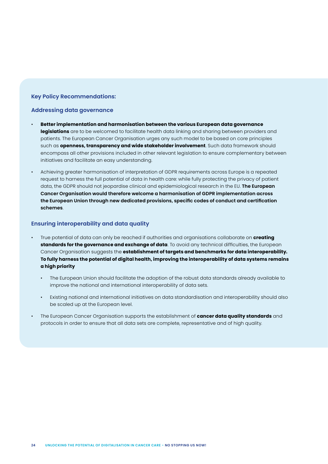#### **Key Policy Recommendations:**

#### **Addressing data governance**

- **Better implementation and harmonisation between the various European data governance legislations** are to be welcomed to facilitate health data linking and sharing between providers and patients. The European Cancer Organisation urges any such model to be based on core principles such as **openness, transparency and wide stakeholder involvement**. Such data framework should encompass all other provisions included in other relevant legislation to ensure complementary between initiatives and facilitate an easy understanding.
- Achieving greater harmonisation of interpretation of GDPR requirements across Europe is a repeated request to harness the full potential of data in health care: while fully protecting the privacy of patient data, the GDPR should not jeopardise clinical and epidemiological research in the EU. **The European Cancer Organisation would therefore welcome a harmonisation of GDPR implementation across the European Union through new dedicated provisions, specific codes of conduct and certification schemes**.

#### **Ensuring interoperability and data quality**

- True potential of data can only be reached if authorities and organisations collaborate on **creating standards for the governance and exchange of data**. To avoid any technical difficulties, the European Cancer Organisation suggests the **establishment of targets and benchmarks for data interoperability. To fully harness the potential of digital health, improving the interoperability of data systems remains a high priority**
	- The European Union should facilitate the adoption of the robust data standards already available to improve the national and international interoperability of data sets.
	- Existing national and international initiatives on data standardisation and interoperability should also be scaled up at the European level.
- The European Cancer Organisation supports the establishment of **cancer data quality standards** and protocols in order to ensure that all data sets are complete, representative and of high quality.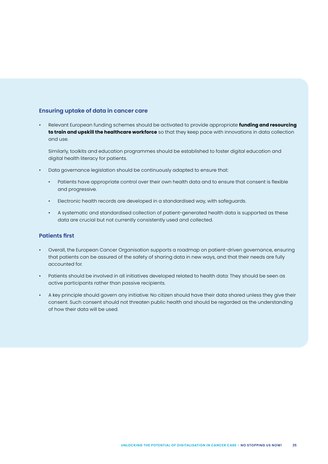#### **Ensuring uptake of data in cancer care**

• Relevant European funding schemes should be activated to provide appropriate **funding and resourcing to train and upskill the healthcare workforce** so that they keep pace with innovations in data collection and use.

Similarly, toolkits and education programmes should be established to foster digital education and digital health literacy for patients.

- Data governance legislation should be continuously adapted to ensure that:
	- Patients have appropriate control over their own health data and to ensure that consent is flexible and progressive.
	- Electronic health records are developed in a standardised way, with safeguards.
	- A systematic and standardised collection of patient-generated health data is supported as these data are crucial but not currently consistently used and collected.

#### **Patients first**

- Overall, the European Cancer Organisation supports a roadmap on patient-driven governance, ensuring that patients can be assured of the safety of sharing data in new ways, and that their needs are fully accounted for.
- Patients should be involved in all initiatives developed related to health data: They should be seen as active participants rather than passive recipients.
- A key principle should govern any initiative: No citizen should have their data shared unless they give their consent. Such consent should not threaten public health and should be regarded as the understanding of how their data will be used.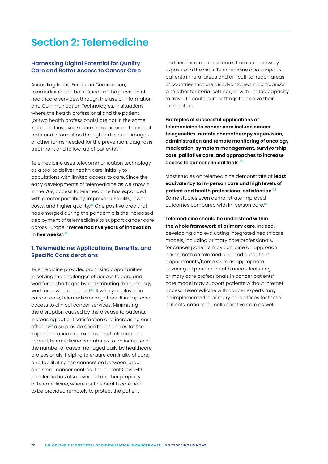# <span id="page-25-0"></span>**Section 2: Telemedicine**

# **Harnessing Digital Potential for Quality Care and Better Access to Cancer Care**

According to the European Commission, telemedicine can be defined as "the provision of healthcare services, through the use of Information and Communication Technologies, in situations where the health professional and the patient (or two health professionals) are not in the same location. It involves secure transmission of medical data and information through text, sound, images or other forms needed for the prevention, diagnosis, treatment and follow-up of patients".<sup>27</sup>

Telemedicine uses telecommunication technology as a tool to deliver health care, initially to populations with limited access to care. Since the early developments of telemedicine as we know it in the 70s, access to telemedicine has expanded with greater portability, improved usability, lower costs, and higher quality.28 One positive area that has emerged during the pandemic is the increased deployment of telemedicine to support cancer care across Europe: "**We've had five years of innovation**  in five weeks<sup>"29</sup>

# **1. Telemedicine: Applications, Benefits, and Specific Considerations**

Telemedicine provides promising opportunities in solving the challenges of access to care and workforce shortages by redistributing the oncology workforce where needed<sup>30</sup>. If wisely deployed in cancer care, telemedicine might result in improved access to clinical cancer services. Minimising the disruption caused by the disease to patients, increasing patient satisfaction and increasing cost efficacy<sup>31</sup> also provide specific rationales for the implementation and expansion of telemedicine. Indeed, telemedicine contributes to an increase of the number of cases managed daily by healthcare professionals, helping to ensure continuity of care, and facilitating the connection between large and small cancer centres. The current Covid-19 pandemic has also revealed another property of telemedicine, where routine health care had to be provided remotely to protect the patient

and healthcare professionals from unnecessary exposure to the virus. Telemedicine also supports patients in rural areas and difficult-to-reach areas of countries that are disadvantaged in comparison with other territorial settings, or with limited capacity to travel to acute care settings to receive their medication.

**Examples of successful applications of telemedicine to cancer care include cancer telegenetics, remote chemotherapy supervision, administration and remote monitoring of oncology medication, symptom management, survivorship care, palliative care, and approaches to increase access to cancer clinical trials**. 32

Most studies on telemedicine demonstrate at **least equivalency to in-person care and high levels of patient and health professional satisfaction**. 33 Some studies even demonstrate improved outcomes compared with in-person care.<sup>34</sup>

**Telemedicine should be understood within the whole framework of primary care**. Indeed, developing and evaluating integrated health care models, including primary care professionals, for cancer patients may combine an approach based both on telemedicine and outpatient appointments/home visits as appropriate covering all patients' health needs. Including primary care professionals in cancer patients' care model may support patients without internet access. Telemedicine with cancer experts may be implemented in primary care offices for these patients, enhancing collaborative care as well.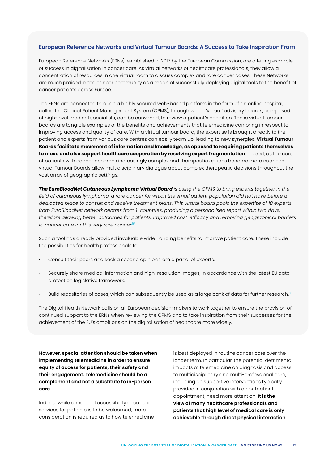#### **European Reference Networks and Virtual Tumour Boards: A Success to Take Inspiration From**

European Reference Networks (ERNs), established in 2017 by the European Commission, are a telling example of success in digitalisation in cancer care. As virtual networks of healthcare professionals, they allow a concentration of resources in one virtual room to discuss complex and rare cancer cases. These Networks are much praised in the cancer community as a mean of successfully deploying digital tools to the benefit of cancer patients across Europe.

The ERNs are connected through a highly secured web-based platform in the form of an online hospital, called the Clinical Patient Management System (CPMS), through which 'virtual' advisory boards, composed of high-level medical specialists, can be convened, to review a patient's condition. These virtual tumour boards are tangible examples of the benefits and achievements that telemedicine can bring in respect to improving access and quality of care. With a virtual tumour board, the expertise is brought directly to the patient and experts from various care centres can easily team up, leading to new synergies. **Virtual Tumour Boards facilitate movement of information and knowledge, as opposed to requiring patients themselves to move and also support healthcare cooperation by resolving expert fragmentation**. Indeed, as the care of patients with cancer becomes increasingly complex and therapeutic options become more nuanced, virtual Tumour Boards allow multidisciplinary dialogue about complex therapeutic decisions throughout the vast array of geographic settings.

*The EuroBloodNet Cutaneous Lymphoma Virtual Board is using the CPMS to bring experts together in the field of cutaneous lymphoma, a rare cancer for which the small patient population did not have before a dedicated place to consult and receive treatment plans. This virtual board pools the expertise of 18 experts from EuroBloodNet network centres from 11 countries, producing a personalised report within two days, therefore allowing better outcomes for patients, improved cost-efficacy and removing geographical barriers to cancer care for this very rare cancer35.* 

Such a tool has already provided invaluable wide-ranging benefits to improve patient care. These include the possibilities for health professionals to:

- Consult their peers and seek a second opinion from a panel of experts.
- Securely share medical information and high-resolution images, in accordance with the latest EU data protection legislative framework.
- Build repositories of cases, which can subsequently be used as a large bank of data for further research.<sup>36</sup>

The Digital Health Network calls on all European decision-makers to work together to ensure the provision of continued support to the ERNs when reviewing the CPMS and to take inspiration from their successes for the achievement of the EU's ambitions on the digitalisation of healthcare more widely.

**However, special attention should be taken when implementing telemedicine in order to ensure equity of access for patients, their safety and their engagement. Telemedicine should be a complement and not a substitute to in-person care**.

Indeed, while enhanced accessibility of cancer services for patients is to be welcomed, more consideration is required as to how telemedicine is best deployed in routine cancer care over the longer term. In particular, the potential detrimental impacts of telemedicine on diagnosis and access to multidisciplinary and multi-professional care, including on supportive interventions typically provided in conjunction with an outpatient appointment, need more attention. **It is the view of many healthcare professionals and patients that high level of medical care is only achievable through direct physical interaction**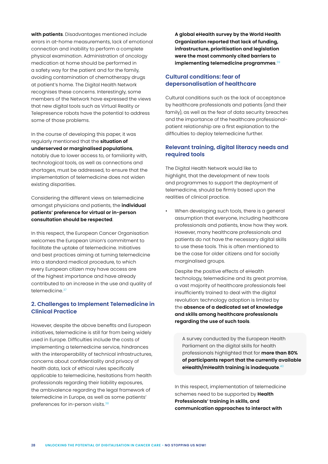**with patients**. Disadvantages mentioned include errors in at-home measurements, lack of emotional connection and inability to perform a complete physical examination. Administration of oncology medication at home should be performed in a safety way for the patient and for the family, avoiding contamination of chemotherapy drugs at patient's home. The Digital Health Network recognises these concerns. Interestingly, some members of the Network have expressed the views that new digital tools such as Virtual Reality or Telepresence robots have the potential to address some of those problems.

In the course of developing this paper, it was regularly mentioned that the **situation of underserved or marginalised populations**, notably due to lower access to, or familiarity with, technological tools, as well as connections and shortages, must be addressed, to ensure that the implementation of telemedicine does not widen existing disparities.

Considering the different views on telemedicine amongst physicians and patients, the **individual patients' preference for virtual or in-person consultation should be respected**.

In this respect, the European Cancer Organisation welcomes the European Union's commitment to facilitate the uptake of telemedicine. Initiatives and best practices aiming at turning telemedicine into a standard medical procedure, to which every European citizen may have access are of the highest importance and have already contributed to an increase in the use and quality of telemedicine.<sup>37</sup>

# **2. Challenges to Implement Telemedicine in Clinical Practice**

However, despite the above benefits and European initiatives, telemedicine is still far from being widely used in Europe. Difficulties include the costs of implementing a telemedicine service, hindrances with the interoperability of technical infrastructures, concerns about confidentiality and privacy of health data, lack of ethical rules specifically applicable to telemedicine, hesitations from health professionals regarding their liability exposures, the ambivalence regarding the legal framework of telemedicine in Europe, as well as some patients' preferences for in-person visits.<sup>38</sup>

**A global eHealth survey by the World Health Organization reported that lack of funding, infrastructure, prioritisation and legislation were the most commonly cited barriers to implementing telemedicine programmes**. 39

# **Cultural conditions: fear of depersonalisation of healthcare**

Cultural conditions such as the lack of acceptance by healthcare professionals and patients (and their family), as well as the fear of data security breaches and the importance of the healthcare professionalpatient relationship are a first explanation to the difficulties to deploy telemedicine further.

# **Relevant training, digital literacy needs and required tools**

The Digital Health Network would like to highlight, that the development of new tools and programmes to support the deployment of telemedicine, should be firmly based upon the realities of clinical practice.

When developing such tools, there is a general assumption that everyone, including healthcare professionals and patients, know how they work. However, many healthcare professionals and patients do not have the necessary digital skills to use these tools. This is often mentioned to be the case for older citizens and for socially marginalised groups.

Despite the positive effects of eHealth technology, telemedicine and its great promise, a vast majority of healthcare professionals feel insufficiently trained to deal with the digital revolution: technology adoption is limited by the **absence of a dedicated set of knowledge and skills among healthcare professionals regarding the use of such tools**.

A survey conducted by the European Health Parliament on the digital skills for health professionals highlighted that for **more than 80% of participants report that the currently available eHealth/mHealth training is inadequate**. 40

In this respect, implementation of telemedicine schemes need to be supported by **Health Professionals' training in skills, and communication approaches to interact with**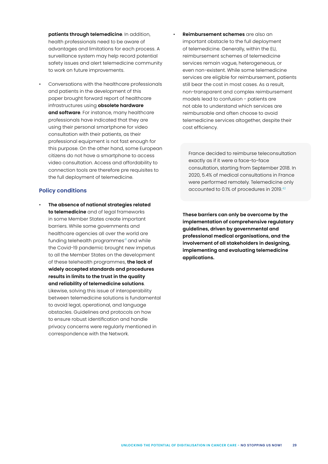**patients through telemedicine**. In addition, health professionals need to be aware of advantages and limitations for each process. A surveillance system may help record potential safety issues and alert telemedicine community to work on future improvements.

• Conversations with the healthcare professionals and patients in the development of this paper brought forward report of healthcare infrastructures using **obsolete hardware and software**. For instance, many healthcare professionals have indicated that they are using their personal smartphone for video consultation with their patients, as their professional equipment is not fast enough for this purpose. On the other hand, some European citizens do not have a smartphone to access video consultation. Access and affordability to connection tools are therefore pre requisites to the full deployment of telemedicine.

#### **Policy conditions**

• **The absence of national strategies related to telemedicine** and of legal frameworks in some Member States create important barriers. While some governments and healthcare agencies all over the world are funding telehealth programmes<sup>41</sup> and while the Covid-19 pandemic brought new impetus to all the Member States on the development of these telehealth programmes, **the lack of widely accepted standards and procedures results in limits to the trust in the quality and reliability of telemedicine solutions**. Likewise, solving this issue of interoperability between telemedicine solutions is fundamental to avoid legal, operational, and language obstacles. Guidelines and protocols on how to ensure robust identification and handle privacy concerns were regularly mentioned in correspondence with the Network.

• **Reimbursement schemes** are also an important obstacle to the full deployment of telemedicine. Generally, within the EU, reimbursement schemes of telemedicine services remain vague, heterogeneous, or even non-existent. While some telemedicine services are eligible for reimbursement, patients still bear the cost in most cases. As a result, non-transparent and complex reimbursement models lead to confusion - patients are not able to understand which services are reimbursable and often choose to avoid telemedicine services altogether, despite their cost efficiency.

France decided to reimburse teleconsultation exactly as if it were a face-to-face consultation, starting from September 2018. In 2020, 5.4% of medical consultations in France were performed remotely. Telemedicine only accounted to 0.1% of procedures in 2019.42

**These barriers can only be overcome by the implementation of comprehensive regulatory guidelines, driven by governmental and professional medical organisations, and the involvement of all stakeholders in designing, implementing and evaluating telemedicine applications.**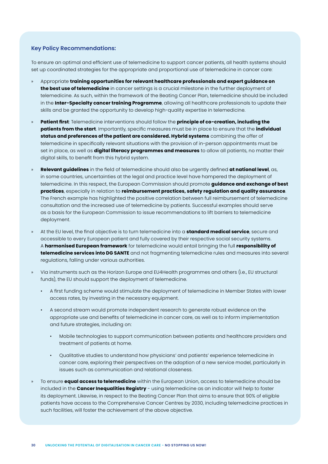#### **Key Policy Recommendations:**

To ensure an optimal and efficient use of telemedicine to support cancer patients, all health systems should set up coordinated strategies for the appropriate and proportional use of telemedicine in cancer care:

- » Appropriate **training opportunities for relevant healthcare professionals and expert guidance on the best use of telemedicine** in cancer settings is a crucial milestone in the further deployment of telemedicine. As such, within the framework of the Beating Cancer Plan, telemedicine should be included in the **Inter-Specialty cancer training Programme**, allowing all healthcare professionals to update their skills and be granted the opportunity to develop high-quality expertise in telemedicine.
- » **Patient first**: Telemedicine interventions should follow the **principle of co-creation, including the patients from the start**. Importantly, specific measures must be in place to ensure that the **individual status and preferences of the patient are considered. Hybrid systems** combining the offer of telemedicine in specifically relevant situations with the provision of in-person appointments must be set in place, as well as **digital literacy programmes and measures** to allow all patients, no matter their digital skills, to benefit from this hybrid system.
- » **Relevant guidelines** in the field of telemedicine should also be urgently defined **at national level**, as, in some countries, uncertainties at the legal and practice level have hampered the deployment of telemedicine. In this respect, the European Commission should promote **guidance and exchange of best practices**, especially in relation to **reimbursement practices, safety regulation and quality assurance**. The French example has highlighted the positive correlation between full reimbursement of telemedicine consultation and the increased use of telemedicine by patients. Successful examples should serve as a basis for the European Commission to issue recommendations to lift barriers to telemedicine deployment.
- » At the EU level, the final objective is to turn telemedicine into a **standard medical service**, secure and accessible to every European patient and fully covered by their respective social security systems. A **harmonised European framework** for telemedicine would entail bringing the full **responsibility of telemedicine services into DG SANTE** and not fragmenting telemedicine rules and measures into several regulations, falling under various authorities.
- » Via instruments such as the Horizon Europe and EU4Health programmes and others (i.e., EU structural funds), the EU should support the deployment of telemedicine.
	- A first funding scheme would stimulate the deployment of telemedicine in Member States with lower access rates, by investing in the necessary equipment.
	- A second stream would promote independent research to generate robust evidence on the appropriate use and benefits of telemedicine in cancer care, as well as to inform implementation and future strategies, including on:
		- Mobile technologies to support communication between patients and healthcare providers and treatment of patients at home.
		- Qualitative studies to understand how physicians' and patients' experience telemedicine in cancer care, exploring their perspectives on the adoption of a new service model, particularly in issues such as communication and relational closeness.
- » To ensure **equal access to telemedicine** within the European Union, access to telemedicine should be included in the **Cancer Inequalities Registry** - using telemedicine as an indicator will help to foster its deployment. Likewise, in respect to the Beating Cancer Plan that aims to ensure that 90% of eligible patients have access to the Comprehensive Cancer Centres by 2030, including telemedicine practices in such facilities, will foster the achievement of the above objective.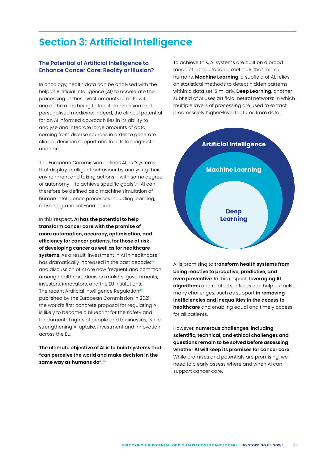# <span id="page-30-0"></span>**Section 3: Artificial Intelligence**

# **The Potential of Artificial Intelligence to Enhance Cancer Care: Reality or Illusion?**

In oncology, health data can be analysed with the help of Artificial Intelligence (AI) to accelerate the processing of these vast amounts of data with one of the aims being to facilitate precision and personalised medicine. Indeed, the clinical potential for an AI informed approach lies in its ability to analyse and integrate large amounts of data coming from diverse sources in order to generate clinical decision support and facilitate diagnostic and care.

The European Commission defines AI as "systems that display intelligent behaviour by analysing their environment and taking actions – with some degree of autonomy – to achieve specific goals". $43$  AI can therefore be defined as a machine simulation of human intelligence processes including learning, reasoning, and self-correction.

In this respect, **AI has the potential to help transform cancer care with the promise of more automation, accuracy, optimisation, and efficiency for cancer patients, for those at risk of developing cancer as well as for healthcare systems**. As a result, investment in AI in healthcare has dramatically increased in the past decade;<sup>44</sup> and discussion of AI are now frequent and common among healthcare decision makers, governments, investors, innovators, and the EU institutions. The recent Artificial Intelligence Regulation<sup>45</sup> published by the European Commission in 2021, the world's first concrete proposal for regulating AI, is likely to become a blueprint for the safety and fundamental rights of people and businesses, while strengthening AI uptake, investment and innovation across the EU.

**The ultimate objective of AI is to build systems that "can perceive the world and make decision in the same way as humans do"**. 46

To achieve this, AI systems are built on a broad range of computational methods that mimic humans. **Machine Learning**, a subfield of AI, relies on statistical methods to detect hidden patterns within a data set. Similarly, **Deep Learning**, another subfield of AI uses artificial neural networks in which multiple layers of processing are used to extract progressively higher-level features from data.



AI is promising to **transform health systems from being reactive to proactive, predictive, and even preventive**. In this respect, **leveraging AI algorithms** and related subfields can help us tackle many challenges, such as support **in removing inefficiencies and inequalities in the access to healthcare** and enabling equal and timely access for all patients.

However, **numerous challenges, including scientific, technical, and ethical challenges and questions remain to be solved before assessing whether AI will keep its promises for cancer care**. While promises and potentials are promising, we need to clearly assess where and when AI can support cancer care.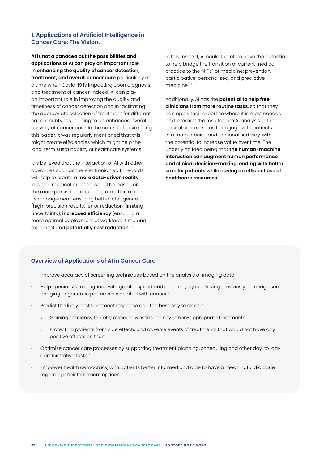# **1. Applications of Artificial Intelligence in Cancer Care: The Vision.**

**AI is not a panacea but the possibilities and applications of AI can play an important role in enhancing the quality of cancer detection, treatment, and overall cancer care** particularly at a time when Covid-19 is impacting upon diagnosis and treatment of cancer. Indeed, AI can play an important role in improving the quality and timeliness of cancer detection and in facilitating the appropriate selection of treatment for different cancer subtypes, leading to an enhanced overall delivery of cancer care. In the course of developing this paper, it was regularly mentioned that this might create efficiencies which might help the long-term sustainability of healthcare systems.

It is believed that the interaction of AI with other advances such as the electronic health records will help to create a **more data-driven reality** in which medical practice would be based on the more precise curation of information and its management, ensuring better intelligence (high-precision results), error reduction (limiting uncertainty), **increased efficiency** (ensuring a more optimal deployment of workforce time and expertise) and **potentially cost reduction**. 47

In this respect, AI could therefore have the potential to help bridge the transition of current medical practice to the "4 Ps" of medicine: prevention, participative, personalised, and predictive medicine.<sup>49</sup>

Additionally, AI has the **potential to help free clinicians from more routine tasks**, so that they can apply their expertise where it is most needed and interpret the results from AI analysis in the clinical context so as to engage with patients in a more precise and personalised way, with the potential to increase value over time. The underlying idea being that **the human-machine interaction can augment human performance and clinical decision-making, ending with better care for patients while having an efficient use of healthcare resources**.

# **Overview of Applications of AI in Cancer Care**

- Improve accuracy of screening techniques based on the analysis of imaging data.
- Help specialists to diagnose with greater speed and accuracy by identifying previously unrecognised imaging or genomic patterns associated with cancer.<sup>48</sup>
- Predict the likely best treatment response and the best way to steer it:
	- » Gaining efficiency thereby avoiding wasting money in non-appropriate treatments.
	- » Protecting patients from side effects and adverse events of treatments that would not have any positive effects on them.
- Optimise cancer care processes by supporting treatment planning, scheduling and other day-to-day administrative tasks.<sup>2</sup>
- Empower health democracy, with patients better informed and able to have a meaningful dialogue regarding their treatment options.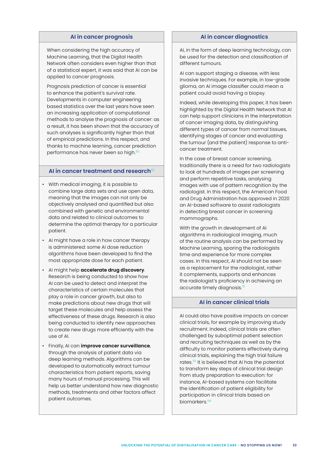#### **AI in cancer prognosis**

When considering the high accuracy of Machine Learning, that the Digital Health Network often considers even higher than that of a statistical expert, it was said that AI can be applied to cancer prognosis.

Prognosis prediction of cancer is essential to enhance the patient's survival rate. Developments in computer engineering based statistics over the last years have seen an increasing application of computational methods to analyse the prognosis of cancer: as a result, it has been shown that the accuracy of such analyses is significantly higher than that of empirical predictions. In this respect, and thanks to machine learning, cancer prediction performance has never been so high.<sup>50</sup>

#### **AI in cancer treatment and research**<sup>52</sup>

- With medical imaging, it is possible to combine large data sets and use open data, meaning that the images can not only be objectively analysed and quantified but also combined with genetic and environmental data and related to clinical outcomes to determine the optimal therapy for a particular patient.
- AI might have a role in how cancer therapy is administered: some AI dose reduction algorithms have been developed to find the most appropriate dose for each patient.
- AI might help **accelerate drug discovery**. Research is being conducted to show how AI can be used to detect and interpret the characteristics of certain molecules that play a role in cancer growth, but also to make predictions about new drugs that will target these molecules and help assess the effectiveness of these drugs. Research is also being conducted to identify new approaches to create new drugs more efficiently with the use of AI.
- Finally, AI can **improve cancer surveillance**, through the analysis of patient data via deep learning methods. Algorithms can be developed to automatically extract tumour characteristics from patient reports, saving many hours of manual processing. This will help us better understand how new diagnostic methods, treatments and other factors affect patient outcomes.

#### **AI in cancer diagnostics**

AI, in the form of deep learning technology, can be used for the detection and classification of different tumours.

AI can support staging a disease, with less invasive techniques. For example, in low-grade glioma, an AI image classifier could mean a patient could avoid having a biopsy.

Indeed, while developing this paper, it has been highlighted by the Digital Health Network that AI can help support clinicians in the interpretation of cancer imaging data, by distinguishing different types of cancer from normal tissues, identifying stages of cancer and evaluating the tumour (and the patient) response to anticancer treatment.

In the case of breast cancer screening, traditionally there is a need for two radiologists to look at hundreds of images per screening and perform repetitive tasks, analysing images with use of pattern recognition by the radiologist. In this respect, the American Food and Drug Administration has approved in 2020 an AI-based software to assist radiologists in detecting breast cancer in screening mammographs.

With the growth in development of AI algorithms in radiological imaging, much of the routine analysis can be performed by Machine Learning, sparing the radiologists time and experience for more complex cases. In this respect, AI should not be seen as a replacement for the radiologist, rather it complements, supports and enhances the radiologist's proficiency in achieving an accurate timely diagnosis.<sup>51</sup>

#### **AI in cancer clinical trials**

AI could also have positive impacts on cancer clinical trials, for example by improving study recruitment. Indeed, clinical trials are often challenged by suboptimal patient selection and recruiting techniques as well as by the difficulty to monitor patients effectively during clinical trials, explaining the high trial failure rates.53 It is believed that AI has the potential to transform key steps of clinical trial design from study preparation to execution: for instance, AI-based systems can facilitate the identification of patient eligibility for participation in clinical trials based on biomarkers.<sup>54</sup>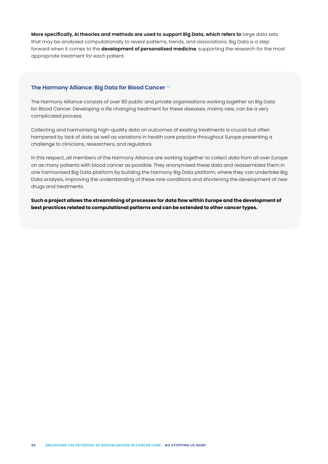**More specifically, AI theories and methods are used to support Big Data, which refers to** large data sets that may be analysed computationally to reveal patterns, trends, and associations. Big Data is a step forward when it comes to the **development of personalised medicine**, supporting the research for the most appropriate treatment for each patient.

#### **The Harmony Alliance: Big Data for Blood Cancer** <sup>55</sup>

The Harmony Alliance consists of over 80 public and private organisations working together on Big Data for Blood Cancer. Developing a life changing treatment for these diseases, mainly rare, can be a very complicated process.

Collecting and harmonising high-quality data on outcomes of existing treatments is crucial but often hampered by lack of data as well as variations in health care practice throughout Europe presenting a challenge to clinicians, researchers, and regulators.

In this respect, all members of the Harmony Alliance are working together to collect data from all over Europe on as many patients with blood cancer as possible. They anonymised these data and reassembled them in one harmonised Big Data platform by building the harmony Big Data platform, where they can undertake Big Data analysis, improving the understanding of these rare conditions and shortening the development of new drugs and treatments.

**Such a project allows the streamlining of processes for data flow within Europe and the development of best practices related to computational patterns and can be extended to other cancer types.**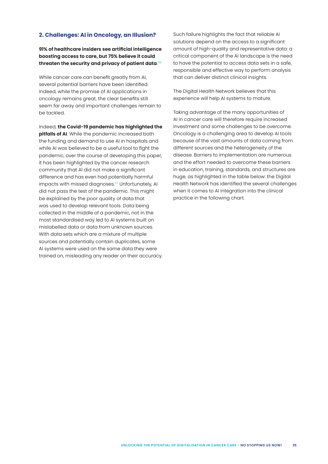#### **2. Challenges: AI in Oncology, an Illusion?**

**91% of healthcare insiders see artificial intelligence boosting access to care, but 75% believe it could threaten the security and privacy of patient data**. 56

While cancer care can benefit greatly from AI, several potential barriers have been identified. Indeed, while the promise of AI applications in oncology remains great, the clear benefits still seem far away and important challenges remain to be tackled.

Indeed, **the Covid-19 pandemic has highlighted the** 

**pitfalls of AI**. While the pandemic increased both the funding and demand to use AI in hospitals and while AI was believed to be a useful tool to fight the pandemic, over the course of developing this paper, it has been highlighted by the cancer research community that AI did not make a significant difference and has even had potentially harmful impacts with missed diagnoses.<sup>57</sup> Unfortunately, AI did not pass the test of the pandemic. This might be explained by the poor quality of data that was used to develop relevant tools. Data being collected in the middle of a pandemic, not in the most standardised way led to AI systems built on mislabelled data or data from unknown sources. With data sets which are a mixture of multiple sources and potentially contain duplicates, some AI systems were used on the same data they were trained on, misleading any reader on their accuracy. Such failure highlights the fact that reliable AI solutions depend on the access to a significant amount of high-quality and representative data: a critical component of the AI landscape is the need to have the potential to access data sets in a safe, responsible and effective way to perform analysis that can deliver distinct clinical insights.

The Digital Health Network believes that this experience will help AI systems to mature.

Taking advantage of the many opportunities of AI in cancer care will therefore require increased investment and some challenges to be overcome. Oncology is a challenging area to develop AI tools because of the vast amounts of data coming from different sources and the heterogeneity of the disease. Barriers to implementation are numerous and the effort needed to overcome these barriers in education, training, standards, and structures are huge, as highlighted in the table below: the Digital Health Network has identified the several challenges when it comes to AI integration into the clinical practice in the following chart.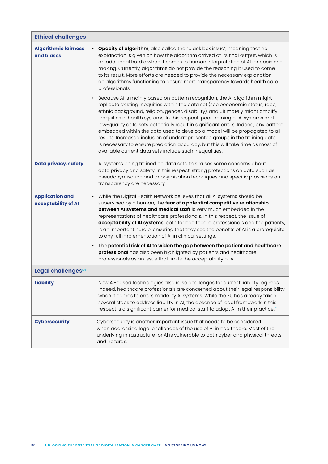| <b>Ethical challenges</b>                     |                                                                                                                                                                                                                                                                                                                                                                                                                                                                                                                                                                                                                                                                                                                                                                     |  |
|-----------------------------------------------|---------------------------------------------------------------------------------------------------------------------------------------------------------------------------------------------------------------------------------------------------------------------------------------------------------------------------------------------------------------------------------------------------------------------------------------------------------------------------------------------------------------------------------------------------------------------------------------------------------------------------------------------------------------------------------------------------------------------------------------------------------------------|--|
| <b>Algorithmic fairness</b><br>and biases     | <b>Opacity of algorithm</b> , also called the "black box issue", meaning that no<br>explanation is given on how the algorithm arrived at its final output, which is<br>an additional hurdle when it comes to human interpretation of AI for decision-<br>making. Currently, algorithms do not provide the reasoning it used to come<br>to its result. More efforts are needed to provide the necessary explanation<br>on algorithms functioning to ensure more transparency towards health care<br>professionals.                                                                                                                                                                                                                                                   |  |
|                                               | Because AI is mainly based on pattern recognition, the AI algorithm might<br>$\bullet$<br>replicate existing inequities within the data set (socioeconomic status, race,<br>ethnic background, religion, gender, disability), and ultimately might amplify<br>inequities in health systems. In this respect, poor training of AI systems and<br>low-quality data sets potentially result in significant errors. Indeed, any pattern<br>embedded within the data used to develop a model will be propagated to all<br>results. Increased inclusion of underrepresented groups in the training data<br>is necessary to ensure prediction accuracy, but this will take time as most of<br>available current data sets include such inequalities.                       |  |
| <b>Data privacy, safety</b>                   | Al systems being trained on data sets, this raises some concerns about<br>data privacy and safety. In this respect, strong protections on data such as<br>pseudonymisation and anonymisation techniques and specific provisions on<br>transparency are necessary.                                                                                                                                                                                                                                                                                                                                                                                                                                                                                                   |  |
| <b>Application and</b><br>acceptability of Al | • While the Digital Health Network believes that all AI systems should be<br>supervised by a human, the fear of a potential competitive relationship<br>between AI systems and medical staff is very much embedded in the<br>representations of healthcare professionals. In this respect, the issue of<br>acceptability of AI systems, both for healthcare professionals and the patients,<br>is an important hurdle: ensuring that they see the benefits of AI is a prerequisite<br>to any full implementation of AI in clinical settings.<br>The potential risk of AI to widen the gap between the patient and healthcare<br>professional has also been highlighted by patients and healthcare<br>professionals as an issue that limits the acceptability of Al. |  |
| Legal challenges <sup>58</sup>                |                                                                                                                                                                                                                                                                                                                                                                                                                                                                                                                                                                                                                                                                                                                                                                     |  |
| <b>Liability</b>                              | New Al-based technologies also raise challenges for current liability regimes.<br>Indeed, healthcare professionals are concerned about their legal responsibility<br>when it comes to errors made by AI systems. While the EU has already taken<br>several steps to address liability in AI, the absence of legal framework in this<br>respect is a significant barrier for medical staff to adopt AI in their practice. <sup>59</sup>                                                                                                                                                                                                                                                                                                                              |  |
| <b>Cybersecurity</b>                          | Cybersecurity is another important issue that needs to be considered<br>when addressing legal challenges of the use of AI in healthcare. Most of the<br>underlying infrastructure for AI is vulnerable to both cyber and physical threats<br>and hazards.                                                                                                                                                                                                                                                                                                                                                                                                                                                                                                           |  |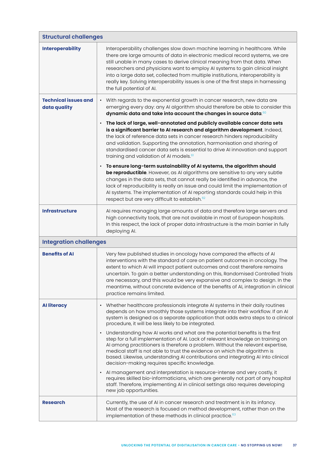| <b>Structural challenges</b>                |                                                                                                                                                                                                                                                                                                                                                                                                                                                                                                                                    |  |
|---------------------------------------------|------------------------------------------------------------------------------------------------------------------------------------------------------------------------------------------------------------------------------------------------------------------------------------------------------------------------------------------------------------------------------------------------------------------------------------------------------------------------------------------------------------------------------------|--|
| <b>Interoperability</b>                     | Interoperability challenges slow down machine learning in healthcare. While<br>there are large amounts of data in electronic medical record systems, we are<br>still unable in many cases to derive clinical meaning from that data. When<br>researchers and physicians want to employ AI systems to gain clinical insight<br>into a large data set, collected from multiple institutions, interoperability is<br>really key. Solving interoperability issues is one of the first steps in harnessing<br>the full potential of Al. |  |
| <b>Technical issues and</b><br>data quality | • With regards to the exponential growth in cancer research, new data are<br>emerging every day: any AI algorithm should therefore be able to consider this<br>dynamic data and take into account the changes in source data 60                                                                                                                                                                                                                                                                                                    |  |
|                                             | The lack of large, well-annotated and publicly available cancer data sets<br>is a significant barrier to AI research and algorithm development. Indeed,<br>the lack of reference data sets in cancer research hinders reproducibility<br>and validation. Supporting the annotation, harmonisation and sharing of<br>standardised cancer data sets is essential to drive AI innovation and support<br>training and validation of AI models. <sup>61</sup>                                                                           |  |
|                                             | To ensure long-term sustainability of AI systems, the algorithm should<br>be reproductible. However, as AI algorithms are sensitive to any very subtle<br>changes in the data sets, that cannot really be identified in advance, the<br>lack of reproducibility is really an issue and could limit the implementation of<br>Al systems. The implementation of Al reporting standards could help in this<br>respect but are very difficult to establish. <sup>62</sup>                                                              |  |
| <b>Infrastructure</b>                       | Al requires managing large amounts of data and therefore large servers and<br>high connectivity tools, that are not available in most of European hospitals.<br>In this respect, the lack of proper data infrastructure is the main barrier in fully<br>deploying Al.                                                                                                                                                                                                                                                              |  |
| <b>Integration challenges</b>               |                                                                                                                                                                                                                                                                                                                                                                                                                                                                                                                                    |  |
| <b>Benefits of AI</b>                       | Very few published studies in oncology have compared the effects of AI<br>interventions with the standard of care on patient outcomes in oncology. The<br>extent to which AI will impact patient outcomes and cost therefore remains<br>uncertain. To gain a better understanding on this, Randomised Controlled Trials<br>are necessary, and this would be very expansive and complex to design. In the<br>meantime, without concrete evidence of the benefits of AI, integration in clinical<br>practice remains limited.        |  |
| <b>Alliteracy</b>                           | Whether healthcare professionals integrate AI systems in their daily routines<br>depends on how smoothly those systems integrate into their workflow. If an AI<br>system is designed as a separate application that adds extra steps to a clinical<br>procedure, it will be less likely to be integrated.<br>Understanding how AI works and what are the potential benefits is the first<br>step for a full implementation of AI. Lack of relevant knowledge on training on                                                        |  |
|                                             | Al among practitioners is therefore a problem. Without the relevant expertise,<br>medical staff is not able to trust the evidence on which the algorithm is<br>based. Likewise, understanding AI contributions and integrating AI into clinical<br>decision-making requires specific knowledge.                                                                                                                                                                                                                                    |  |
|                                             | Al management and interpretation is resource-intense and very costly, it<br>requires skilled bio-informaticians, which are generally not part of any hospital<br>staff. Therefore, implementing AI in clinical settings also requires developing<br>new job opportunities.                                                                                                                                                                                                                                                         |  |
| <b>Research</b>                             | Currently, the use of AI in cancer research and treatment is in its infancy.<br>Most of the research is focused on method development, rather than on the<br>implementation of these methods in clinical practice. <sup>63</sup>                                                                                                                                                                                                                                                                                                   |  |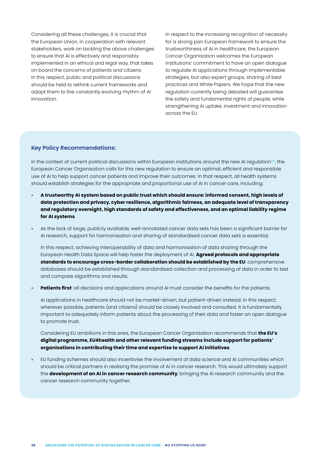Considering all these challenges, it is crucial that the European Union, in cooperation with relevant stakeholders, work on tackling the above challenges to ensure that AI is effectively and responsibly implemented in an ethical and legal way, that takes on board the concerns of patients and citizens. In this respect, public and political discussions should be held to rethink current frameworks and adapt them to the constantly evolving rhythm of AI innovation.

In respect to the increasing recognition of necessity for a strong pan European framework to ensure the trustworthiness of AI in healthcare, the European Cancer Organisation welcomes the European institutions' commitment to have an open dialogue to regulate AI applications through implementable strategies, but also expert groups, sharing of best practices and White Papers. We hope that the new regulation currently being debated will guarantee the safety and fundamental rights of people, while strengthening AI uptake, investment and innovation across the EU.

#### **Key Policy Recommendations:**

In the context of current political discussions within European institutions around the new AI regulation $64$ , the European Cancer Organisation calls for this new regulation to ensure an optimal, efficient and responsible use of AI to help support cancer patients and improve their outcomes. In that respect, all health systems should establish strategies for the appropriate and proportional use of AI in cancer care, including:

- » **A trustworthy AI system based on public trust which should ensure: informed consent, high levels of data protection and privacy, cyber resilience, algorithmic fairness, an adequate level of transparency and regulatory oversight, high standards of safety and effectiveness, and an optimal liability regime for AI systems**.
- » As the lack of large, publicly available, well-annotated cancer data sets has been a significant barrier for AI research, support for harmonisation and sharing of standardised cancer data sets is essential.

In this respect, achieving interoperability of data and harmonisation of data sharing through the European Health Data Space will help foster the deployment of AI. **Agreed protocols and appropriate standards to encourage cross-border collaboration should be established by the EU**: comprehensive databases should be established through standardised collection and processing of data in order to test and compare algorithms and results.

» **Patients first**: all decisions and applications around AI must consider the benefits for the patients.

AI applications in healthcare should not be market-driven, but patient-driven instead. In this respect, wherever possible, patients (and citizens) should be closely involved and consulted. It is fundamentally important to adequately inform patients about the processing of their data and foster an open dialogue to promote trust.

Considering EU ambitions in this area, the European Cancer Organisation recommends that **the EU's digital programme, EU4health and other relevant funding streams include support for patients' organisations in contributing their time and expertise to support AI initiatives**.

» EU funding schemes should also incentivise the involvement of data science and AI communities which should be critical partners in realising the promise of AI in cancer research. This would ultimately support the **development of an AI in cancer research community**, bringing the AI research community and the cancer research community together.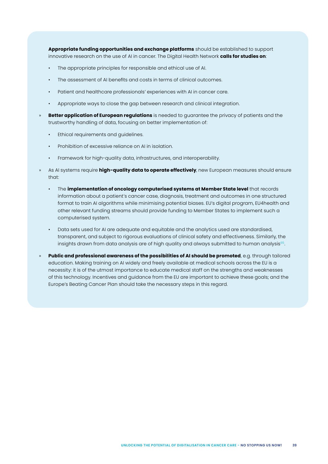**Appropriate funding opportunities and exchange platforms** should be established to support innovative research on the use of AI in cancer. The Digital Health Network **calls for studies on**:

- The appropriate principles for responsible and ethical use of AI.
- The assessment of AI benefits and costs in terms of clinical outcomes.
- Patient and healthcare professionals' experiences with AI in cancer care.
- Appropriate ways to close the gap between research and clinical integration.
- » **Better application of European regulations** is needed to guarantee the privacy of patients and the trustworthy handling of data, focusing on better implementation of:
	- Ethical requirements and guidelines.
	- Prohibition of excessive reliance on AI in isolation.
	- Framework for high-quality data, infrastructures, and interoperability.
- » As AI systems require **high-quality data to operate effectively**, new European measures should ensure that:
	- The **implementation of oncology computerised systems at Member State level** that records information about a patient's cancer case, diagnosis, treatment and outcomes in one structured format to train AI algorithms while minimising potential biases. EU's digital program, EU4health and other relevant funding streams should provide funding to Member States to implement such a computerised system.
	- Data sets used for AI are adequate and equitable and the analytics used are standardised, transparent, and subject to rigorous evaluations of clinical safety and effectiveness. Similarly, the insights drawn from data analysis are of high quality and always submitted to human analysis $65$ .
- » **Public and professional awareness of the possibilities of AI should be promoted**, e.g. through tailored education. Making training on AI widely and freely available at medical schools across the EU is a necessity: it is of the utmost importance to educate medical staff on the strengths and weaknesses of this technology. Incentives and guidance from the EU are important to achieve these goals; and the Europe's Beating Cancer Plan should take the necessary steps in this regard.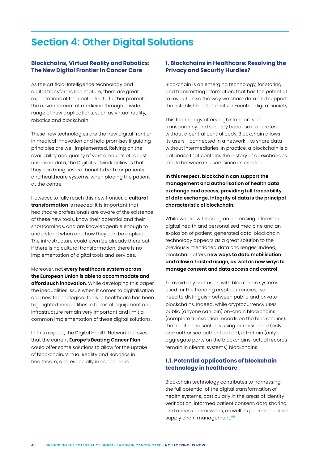# <span id="page-39-0"></span>**Section 4: Other Digital Solutions**

# **Blockchains, Virtual Reality and Robotics: The New Digital Frontier in Cancer Care**

As the Artificial Intelligence technology and digital transformation mature, there are great expectations of their potential to further promote the advancement of medicine through a wide range of new applications, such as virtual reality, robotics and blockchain.

These new technologies are the new digital frontier in medical innovation and hold promises if guiding principles are well implemented. Relying on the availability and quality of vast amounts of robust unbiased data, the Digital Network believes that they can bring several benefits both for patients and healthcare systems, when placing the patient at the centre.

However, to fully reach this new frontier, a **cultural transformation** is needed: it is important that healthcare professionals are aware of the existence of these new tools, know their potential and their shortcomings, and are knowledgeable enough to understand when and how they can be applied. The infrastructure could even be already there but if there is no cultural transformation, there is no implementation of digital tools and services.

Moreover, not **every healthcare system across the European Union is able to accommodate and afford such innovation**. While developing this paper, the inequalities issue when it comes to digitalisation and new technological tools in healthcare has been highlighted: inequalities in terms of equipment and infrastructure remain very important and limit a common implementation of these digital solutions.

In this respect, the Digital Health Network believes that the current **Europe's Beating Cancer Plan** could offer some solutions to allow for the uptake of blockchain, Virtual Reality and Robotics in healthcare, and especially in cancer care.

# **1. Blockchains in Healthcare: Resolving the Privacy and Security Hurdles?**

Blockchain is an emerging technology, for storing and transmitting information, that has the potential to revolutionise the way we share data and support the establishment of a citizen-centric digital society.

This technology offers high standards of transparency and security because it operates without a central control body. Blockchain allows its users - connected in a network - to share data without intermediaries. In practice, a blockchain is a database that contains the history of all exchanges made between its users since its creation.

**In this respect, blockchain can support the management and authorisation of health data exchange and access, providing full traceability of data exchange. Integrity of data is the principal characteristic of blockchain**.

While we are witnessing an increasing interest in digital health and personalised medicine and an explosion of patient-generated data, blockchain technology appears as a great solution to the previously mentioned data challenges. Indeed, blockchain offers **new ways to data mobilisation and allow a trusted usage, as well as new ways to manage consent and data access and control**.

To avoid any confusion with blockchain systems used for the trending cryptocurrencies, we need to distinguish between public and private blockchains. Indeed, while cryptocurrency uses public (anyone can join) on-chain blockchains (complete transaction records on the blockchains), the healthcare sector is using permissioned (only pre-authorised authentication), off-chain (only aggregate parts on the blockchains, actual records remain in clients' systems) blockchains.

# **1.1. Potential applications of blockchain technology in healthcare**

Blockchain technology contributes to harnessing the full potential of the digital transformation of health systems, particularly in the areas of identity verification, informed patient consent, data sharing and access permissions, as well as pharmaceutical supply chain management.<sup>66</sup>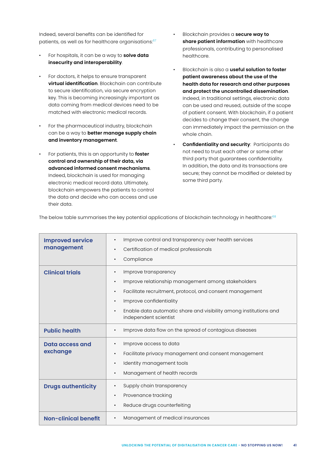Indeed, several benefits can be identified for patients, as well as for healthcare organisations:<sup>67</sup>

- For hospitals, it can be a way to **solve data insecurity and interoperability**.
- For doctors, it helps to ensure transparent **virtual identification**. Blockchain can contribute to secure identification, via secure encryption key. This is becoming increasingly important as data coming from medical devices need to be matched with electronic medical records.
- For the pharmaceutical industry, blockchain can be a way to **better manage supply chain and inventory management**.
- For patients, this is an opportunity to **foster control and ownership of their data, via advanced informed consent mechanisms**. Indeed, blockchain is used for managing electronic medical record data. Ultimately, blockchain empowers the patients to control the data and decide who can access and use their data.
- Blockchain provides a **secure way to share patient information** with healthcare professionals, contributing to personalised healthcare.
- Blockchain is also a **useful solution to foster patient awareness about the use of the health data for research and other purposes and protect the uncontrolled dissemination**. Indeed, in traditional settings, electronic data can be used and reused, outside of the scope of patient consent. With blockchain, if a patient decides to change their consent, the change can immediately impact the permission on the whole chain.
- **Confidentiality and security**: Participants do not need to trust each other or some other third party that guarantees confidentiality. In addition, the data and its transactions are secure; they cannot be modified or deleted by some third party.

| <b>Improved service</b><br>management | Improve control and transparency over health services<br>Certification of medical professionals<br>$\bullet$<br>Compliance<br>$\bullet$                                                                                                                                                                                          |
|---------------------------------------|----------------------------------------------------------------------------------------------------------------------------------------------------------------------------------------------------------------------------------------------------------------------------------------------------------------------------------|
| <b>Clinical trials</b>                | Improve transparency<br>$\bullet$<br>Improve relationship management among stakeholders<br>$\bullet$<br>Facilitate recruitment, protocol, and consent management<br>$\bullet$<br>Improve confidentiality<br>$\bullet$<br>Enable data automatic share and visibility among institutions and<br>$\bullet$<br>independent scientist |
| <b>Public health</b>                  | Improve data flow on the spread of contagious diseases<br>$\bullet$                                                                                                                                                                                                                                                              |
| <b>Data access and</b><br>exchange    | Improve access to data<br>Facilitate privacy management and consent management<br>$\bullet$<br>Identity management tools<br>$\bullet$<br>Management of health records<br>$\bullet$                                                                                                                                               |
| <b>Drugs authenticity</b>             | Supply chain transparency<br>Provenance tracking<br>Reduce drugs counterfeiting                                                                                                                                                                                                                                                  |
| <b>Non-clinical benefit</b>           | Management of medical insurances                                                                                                                                                                                                                                                                                                 |

The below table summarises the key potential applications of blockchain technology in healthcare:<sup>68</sup>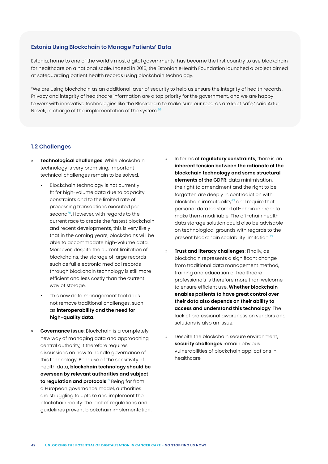#### **Estonia Using Blockchain to Manage Patients' Data**

Estonia, home to one of the world's most digital governments, has become the first country to use blockchain for healthcare on a national scale. Indeed in 2016, the Estonian eHealth Foundation launched a project aimed at safeguarding patient health records using blockchain technology.

"We are using blockchain as an additional layer of security to help us ensure the integrity of health records. Privacy and integrity of healthcare information are a top priority for the government, and we are happy to work with innovative technologies like the Blockchain to make sure our records are kept safe," said Artur Novek, in charge of the implementation of the system.<sup>69</sup>

#### **1.2 Challenges**

- » **Technological challenges**: While blockchain technology is very promising, important technical challenges remain to be solved.
	- Blockchain technology is not currently fit for high-volume data due to capacity constraints and to the limited rate of processing transactions executed per second<sup>70</sup>. However, with regards to the current race to create the fastest blockchain and recent developments, this is very likely that in the coming years, blockchains will be able to accommodate high-volume data. Moreover, despite the current limitation of blockchains, the storage of large records such as full electronic medical records through blockchain technology is still more efficient and less costly than the current way of storage.
	- This new data management tool does not remove traditional challenges, such as **interoperability and the need for high-quality data**.
- » **Governance issue**: Blockchain is a completely new way of managing data and approaching central authority, it therefore requires discussions on how to handle governance of this technology. Because of the sensitivity of health data, **blockchain technology should be overseen by relevant authorities and subject to regulation and protocols**. 71 Being far from a European governance model, authorities are struggling to uptake and implement the blockchain reality: the lack of regulations and guidelines prevent blockchain implementation.
- » In terms of **regulatory constraints**, there is an **inherent tension between the rationale of the blockchain technology and some structural elements of the GDPR**: data minimisation, the right to amendment and the right to be forgotten are deeply in contradiction with blockchain immutability $72$  and require that personal data be stored off-chain in order to make them modifiable. The off-chain health data storage solution could also be advisable on technological grounds with regards to the present blockchain scalability limitation.<sup>73</sup>
- » **Trust and literacy challenges**: Finally, as blockchain represents a significant change from traditional data management method, training and education of healthcare professionals is therefore more than welcome to ensure efficient use. **Whether blockchain enables patients to have great control over their data also depends on their ability to access and understand this technology**. The lack of professional awareness on vendors and solutions is also an issue.
- » Despite the blockchain secure environment, **security challenges** remain obvious vulnerabilities of blockchain applications in healthcare.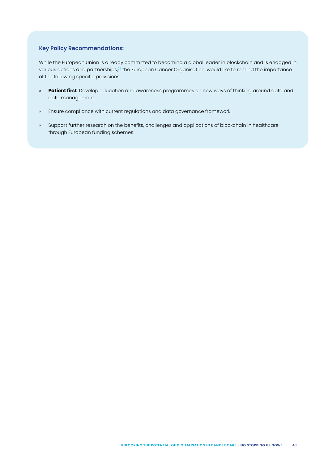### **Key Policy Recommendations:**

While the European Union is already committed to becoming a global leader in blockchain and is engaged in various actions and partnerships,<sup>74</sup> the European Cancer Organisation, would like to remind the importance of the following specific provisions:

- » **Patient first**: Develop education and awareness programmes on new ways of thinking around data and data management.
- » Ensure compliance with current regulations and data governance framework.
- » Support further research on the benefits, challenges and applications of blockchain in healthcare through European funding schemes.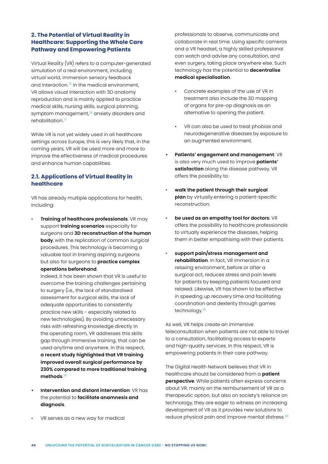# **2. The Potential of Virtual Reality in Healthcare: Supporting the Whole Care Pathway and Empowering Patients**

Virtual Reality (VR) refers to a computer-generated simulation of a real environment, including virtual world, immersion sensory feedback and interaction.<sup>75</sup> In the medical environment, VR allows visual interaction with 3D anatomy reproduction and is mainly applied to practice medical skills, nursing skills, surgical planning, symptom management,<sup>76</sup> anxiety disorders and rehabilitation.<sup>77</sup>

While VR is not yet widely used in all healthcare settings across Europe, this is very likely that, in the coming years, VR will be used more and more to improve the effectiveness of medical procedures and enhance human capabilities.

# **2.1. Applications of Virtual Reality in healthcare**

VR has already multiple applications for health, including:

• **Training of healthcare professionals**: VR may support **training scenarios** especially for surgeons and **3D reconstruction of the human body**, with the replication of common surgical procedures. This technology is becoming a valuable tool in training aspiring surgeons but also for surgeons to **practice complex operations beforehand**.

Indeed, it has been shown that VR is useful to overcome the training challenges pertaining to surgery (i.e., the lack of standardised assessment for surgical skills, the lack of adequate opportunities to consistently practice new skills - especially related to new technologies). By avoiding unnecessary risks with refreshing knowledge directly in the operating room, VR addresses this skills gap through immersive training, that can be used anytime and anywhere. In this respect, **a recent study highlighted that VR training improved overall surgical performance by 230% compared to more traditional training methods**. 78

- **• Intervention and distant intervention**: VR has the potential to **facilitate anamnesis and diagnosis**.
- VR serves as a new way for medical

professionals to observe, communicate and collaborate in real time. Using specific cameras and a VR headset, a highly skilled professional can watch and advise any consultation, and even surgery, taking place anywhere else. Such technology has the potential to **decentralise medical specialisation**.

- Concrete examples of the use of VR in treatment also include the 3D mapping of organs for pre-op diagnosis as an alternative to opening the patient.
- VR can also be used to treat phobias and neurodegenerative diseases by exposure to an augmented environment.
- **• Patients' engagement and management**: VR is also very much used to improve **patients' satisfaction** along the disease pathway. VR offers the possibility to:
- **walk the patient through their surgical plan** by virtually entering a patient-specific reconstruction.
- **be used as an empathy tool for doctors**: VR offers the possibility to healthcare professionals to virtually experience the diseases, helping them in better empathising with their patients.
- **support pain/stress management and rehabilitation**. In fact, VR immersion in a relaxing environment, before or after a surgical act, reduces stress and pain levels for patients by keeping patients focused and relaxed. Likewise, VR has shown to be effective in speeding up recovery time and facilitating coordination and dexterity through games technology.<sup>79</sup>

As well, VR helps create an immersive teleconsultation when patients are not able to travel to a consultation, facilitating access to experts and high-quality services. In this respect, VR is empowering patients in their care pathway.

The Digital Health Network believes that VR in healthcare should be considered from a **patient perspective**. While patients often express concerns about VR, mainly on the reimbursement of VR as a therapeutic option, but also on society's reliance on technology, they are eager to witness an increasing development of VR as it provides new solutions to reduce physical pain and improve mental distress.<sup>80</sup>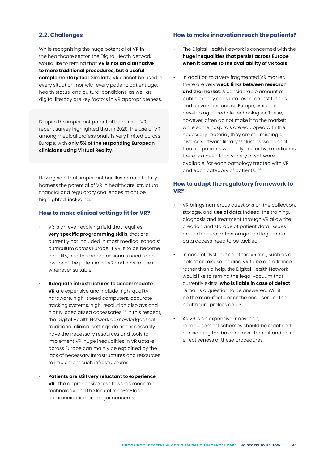#### **2.2. Challenges**

While recognising the huge potential of VR in the healthcare sector, the Digital Heath Network would like to remind that **VR is not an alternative to more traditional procedures, but a useful complementary tool**. Similarly, VR cannot be used in every situation, nor with every patient: patient age, health status, and cultural conditions, as well as digital literacy are key factors in VR appropriateness.

Despite the important potential benefits of VR, a recent survey highlighted that in 2020, the use of VR among medical professionals is very limited across Europe, with **only 5% of the responding European clinicians using Virtual Reality**. 81

Having said that, important hurdles remain to fully harness the potential of VR in healthcare: structural, financial and regulatory challenges might be highlighted, including:

#### **How to make clinical settings fit for VR?**

- VR is an ever-evolving field that requires **very specific programming skills**, that are currently not included in most medical schools' curriculum across Europe. If VR is to be become a reality, healthcare professionals need to be aware of the potential of VR and how to use it whenever suitable.
- **Adequate infrastructures to accommodate VR** are expensive and include high-quality hardware, high-speed computers, accurate tracking systems, high-resolution displays and highly-specialised accessories.<sup>82</sup> In this respect, the Digital Health Network acknowledges that traditional clinical settings do not necessarily have the necessary resources and tools to implement VR: huge inequalities in VR uptake across Europe can mainly be explained by the lack of necessary infrastructures and resources to implement such infrastructures.
- **Patients are still very reluctant to experience VR**: the apprehensiveness towards modern technology and the lack of face-to-face communication are major concerns.

#### **How to make innovation reach the patients?**

- The Digital Health Network is concerned with the **huge inequalities that persist across Europe when it comes to the availability of VR tools**.
- In addition to a very fragmented VR market, there are very **weak links between research and the market**. A considerable amount of public money goes into research institutions and universities across Europe, which are developing incredible technologies. These, however, often do not make it to the market: while some hospitals are equipped with the necessary material, they are still missing a diverse software library.<sup>83</sup> "Just as we cannot treat all patients with only one or two medicines, there is a need for a variety of software available, for each pathology treated with VR and each category of patients."<sup>84</sup>

### **How to adapt the regulatory framework to VR?**

- VR brings numerous questions on the collection, storage, and **use of data**. Indeed, the training, diagnosis and treatment through VR allow the creation and storage of patient data. Issues around secure data storage and legitimate data access need to be tackled.
- In case of dysfunction of the VR tool, such as a defect or misuse leading VR to be a hindrance rather than a help, the Digital Health Network would like to remind the legal vacuum that currently exists: **who is liable in case of defect** remains a question to be answered. Will it be the manufacturer or the end user, i.e., the healthcare professional?
- As VR is an expensive innovation, reimbursement schemes should be redefined considering the balance cost-benefit and costeffectiveness of these procedures.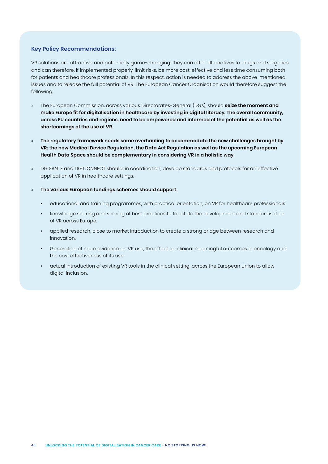#### **Key Policy Recommendations:**

VR solutions are attractive and potentially game-changing: they can offer alternatives to drugs and surgeries and can therefore, if implemented properly, limit risks, be more cost-effective and less time consuming both for patients and healthcare professionals. In this respect, action is needed to address the above-mentioned issues and to release the full potential of VR. The European Cancer Organisation would therefore suggest the following:

- » The European Commission, across various Directorates-General (DGs), should **seize the moment and make Europe fit for digitalisation in healthcare by investing in digital literacy. The overall community, across EU countries and regions, need to be empowered and informed of the potential as well as the shortcomings of the use of VR.**
- » **The regulatory framework needs some overhauling to accommodate the new challenges brought by VR: the new Medical Device Regulation, the Data Act Regulation as well as the upcoming European Health Data Space should be complementary in considering VR in a holistic way**.
- » DG SANTE and DG CONNECT should, in coordination, develop standards and protocols for an effective application of VR in healthcare settings.
- » **The various European fundings schemes should support**:
	- educational and training programmes, with practical orientation, on VR for healthcare professionals.
	- knowledge sharing and sharing of best practices to facilitate the development and standardisation of VR across Europe.
	- applied research, close to market introduction to create a strong bridge between research and innovation.
	- Generation of more evidence on VR use, the effect on clinical meaningful outcomes in oncology and the cost effectiveness of its use.
	- actual introduction of existing VR tools in the clinical setting, across the European Union to allow digital inclusion.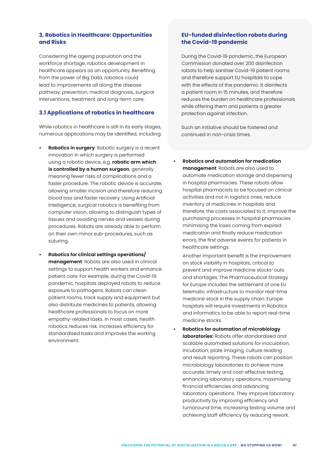# **3. Robotics in Healthcare: Opportunities and Risks**

Considering the ageing population and the workforce shortage, robotics development in healthcare appears as an opportunity. Benefiting from the power of Big Data, robotics could lead to improvements all along the disease pathway: prevention, medical diagnosis, surgical interventions, treatment and long-term care.

# **3.1 Applications of robotics in healthcare**

While robotics in healthcare is still in its early stages, numerous applications may be identified, including:

- **• Robotics in surgery**: Robotic surgery is a recent innovation in which surgery is performed using a robotic device, e.g. **robotic arm which is controlled by a human surgeon**, generally meaning fewer risks of complications and a faster procedure. The robotic device is accurate, allowing smaller incision and therefore reducing blood loss and faster recovery. Using Artificial Intelligence, surgical robotics is benefiting from computer vision, allowing to distinguish types of tissues and avoiding nerves and vessels during procedures. Robots are already able to perform on their own minor sub-procedures, such as suturing.
- **• Robotics for clinical settings operations/ management**: Robots are also used in clinical settings to support health workers and enhance patient care. For example, during the Covid-19 pandemic, hospitals deployed robots to reduce exposure to pathogens. Robots can clean patient rooms, track supply and equipment but also distribute medicines to patients, allowing healthcare professionals to focus on more empathy-related tasks. In most cases, health robotics reduces risk, increases efficiency for standardised tasks and improves the working environment.

# **EU-funded disinfection robots during the Covid-19 pandemic**

During the Covid-19 pandemic, the European Commission donated over 200 disinfection robots to help sanitise Covid-19 patient rooms and therefore support EU hospitals to cope with the effects of the pandemic. It disinfects a patient room in 15 minutes, and therefore reduces the burden on healthcare professionals while offering them and patients a greater protection against infection.

Such an initiative should be fostered and continued in non-crisis times.

**• Robotics and automation for medication management**: Robots are also used to automate medication storage and dispensing in hospital pharmacies. These robots allow hospital pharmacists to be focused on clinical activities and not in logistics ones, reduce inventory of medicines in hospitals and therefore, the costs associated to it, improve the purchasing processes in hospital pharmacies minimising the loses coming from expired medication and finally reduce medication errors, the first adverse events for patients in healthcare settings.

Another important benefit is the improvement on stock visibility in hospitals, critical to prevent and improve medicine stocks-outs and shortages. The Pharmaceutical Strategy for Europe includes the settlement of one EU telematic infrastructure to monitor real-time medicine stock in the supply chain: Europe hospitals will require investments in Robotics and informatics to be able to report real-time medicine stocks.

**• Robotics for automation of microbiology laboratories:** Robots offer standardised and scalable automated solutions for inoculation, incubation, plate imaging, culture reading and result reporting. These robots can position microbiology laboratories to achieve more accurate, timely and cost-effective testing, enhancing laboratory operations, maximising financial efficiencies and advancing laboratory operations. They improve laboratory productivity by improving efficiency and turnaround time, increasing testing volume and achieving staff efficiency by reducing rework.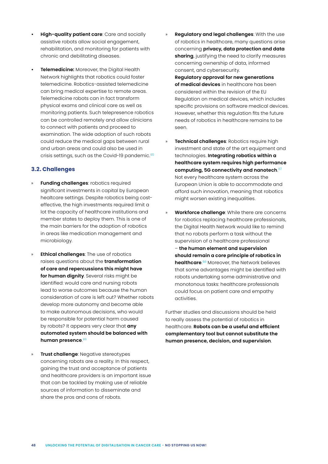- **• High-quality patient care**: Care and socially assistive robots allow social engagement, rehabilitation, and monitoring for patients with chronic and debilitating diseases.
- **• Telemedicine:** Moreover, the Digital Health Network highlights that robotics could foster telemedicine. Robotics-assisted telemedicine can bring medical expertise to remote areas. Telemedicine robots can in fact transform physical exams and clinical care as well as monitoring patients. Such telepresence robotics can be controlled remotely and allow clinicians to connect with patients and proceed to examination. The wide adoption of such robots could reduce the medical gaps between rural and urban areas and could also be used in crisis settings, such as the Covid-19 pandemic.<sup>85</sup>

# **3.2. Challenges**

- » **Funding challenges**: robotics required significant investments in capital by European healtcare settings. Despite robotics being costeffective, the high investments required limit a lot the capacity of healthcare institutions and member states to deploy them. This is one of the main barriers for the adoption of robotics in areas like medication management and microbiology.
- » **Ethical challenges**: The use of robotics raises questions about the **transformation of care and repercussions this might have for human dignity**. Several risks might be identified: would care and nursing robots lead to worse outcomes because the human consideration of care is left out? Whether robots develop more autonomy and become able to make autonomous decisions, who would be responsible for potential harm caused by robots? It appears very clear that **any automated system should be balanced with human presence**. 86
- **Trust challenge**: Negative stereotypes concerning robots are a reality. In this respect, gaining the trust and acceptance of patients and healthcare providers is an important issue that can be tackled by making use of reliable sources of information to disseminate and share the pros and cons of robots.
- » **Regulatory and legal challenges**: With the use of robotics in healthcare, many questions arise concerning **privacy, data protection and data sharing**, justifying the need to clarify measures concerning ownership of data, informed consent, and cybersecurity. **Regulatory approval for new generations of medical devices** in healthcare has been considered within the revision of the EU Regulation on medical devices, which includes specific provisions on software medical devices.
- However, whether this regulation fits the future needs of robotics in healthcare remains to be seen.
- » **Technical challenges**: Robotics require high investment and state of the art equipment and technologies. **Integrating robotics within a healthcare system requires high performance computing, 5G connectivity and nanotech**. 87 Not every healthcare system across the European Union is able to accommodate and afford such innovation, meaning that robotics might worsen existing inequalities.
- » **Workforce challenge**: While there are concerns for robotics replacing healthcare professionals, the Digital Health Network would like to remind that no robots perform a task without the supervision of a healthcare professional – **the human element and supervision should remain a core principle of robotics in healthcare**. 88 Moreover, the Network believes that some advantages might be identified with robots undertaking some administrative and monotonous tasks: healthcare professionals could focus on patient care and empathy activities.

Further studies and discussions should be held to really assess the potential of robotics in healthcare. **Robots can be a useful and efficient complementary tool but cannot substitute the human presence, decision, and supervision**.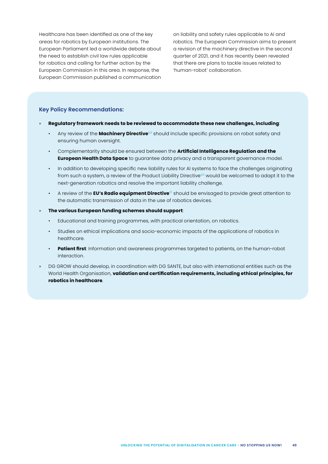Healthcare has been identified as one of the key areas for robotics by European institutions. The European Parliament led a worldwide debate about the need to establish civil law rules applicable for robotics and calling for further action by the European Commission in this area. In response, the European Commission published a communication

on liability and safety rules applicable to AI and robotics. The European Commission aims to present a revision of the machinery directive in the second quarter of 2021, and it has recently been revealed that there are plans to tackle issues related to 'human-robot' collaboration.

#### **Key Policy Recommendations:**

- » **Regulatory framework needs to be reviewed to accommodate these new challenges, including**:
	- Any review of the **Machinery Directive**<sup>89</sup> should include specific provisions on robot safety and ensuring human oversight.
	- Complementarity should be ensured between the **Artificial Intelligence Regulation and the European Health Data Space** to guarantee data privacy and a transparent governance model.
	- In addition to developing specific new liability rules for AI systems to face the challenges originating from such a system, a review of the Product Liability Directive<sup>90</sup> would be welcomed to adapt it to the next-generation robotics and resolve the important liability challenge.
	- A review of the **EU's Radio equipment Directive**91 should be envisaged to provide great attention to the automatic transmission of data in the use of robotics devices.
- » **The various European funding schemes should support**:
	- Educational and training programmes, with practical orientation, on robotics.
	- Studies on ethical implications and socio-economic impacts of the applications of robotics in healthcare.
	- **Patient first**: Information and awareness programmes targeted to patients, on the human-robot interaction.
- » DG GROW should develop, in coordination with DG SANTE, but also with international entities such as the World Health Organisation, **validation and certification requirements, including ethical principles, for robotics in healthcare**.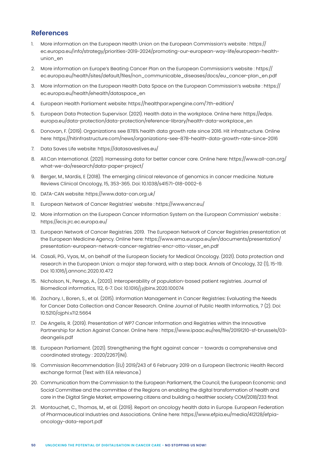# <span id="page-49-0"></span>**References**

- 1. More information on the European Health Union on the European Commission's website : https:// ec.europa.eu/info/strategy/priorities-2019-2024/promoting-our-european-way-life/european-healthunion\_en
- 2. More information on Europe's Beating Cancer Plan on the European Commission's website : https:// ec.europa.eu/health/sites/default/files/non\_communicable\_diseases/docs/eu\_cancer-plan\_en.pdf
- 3. More information on the European Health Data Space on the European Commission's website : https:// ec.europa.eu/health/ehealth/dataspace\_en
- 4. European Health Parliament website: https://healthpar.wpengine.com/7th-edition/
- 5. European Data Protection Supervisor. (2021). Health data in the workplace. Online here: https://edps. europa.eu/data-protection/data-protection/reference-library/health-data-workplace\_en
- 6. Donovan, F. (2019). Organizations see 878% health data growth rate since 2016. Hit infrastructure. Online here: https://hitinfrastructure.com/news/organizations-see-878-health-data-growth-rate-since-2016
- 7. Data Saves Life website: https://datasaveslives.eu/
- 8. All.Can International. (2021). Harnessing data for better cancer care. Online here: https://www.all-can.org/ what-we-do/research/data-paper-project/
- 9. Berger, M., Mardis, E (2018). The emerging clinical relevance of genomics in cancer medicine. Nature Reviews Clinical Oncology, 15, 353-365. Doi: 10.1038/s41571-018-0002-6
- 10. DATA-CAN website: https://www.data-can.org.uk/
- 11. European Network of Cancer Registries' website : https://www.encr.eu/
- 12. More information on the European Cancer Information System on the European Commission' website : https://ecis.jrc.ec.europa.eu/
- 13. European Network of Cancer Registries. 2019. The European Network of Cancer Registries presentation at the European Medicine Agency. Online here: https://www.ema.europa.eu/en/documents/presentation/ presentation-european-network-cancer-registries-encr-otto-visser\_en.pdf
- 14. Casali, PG., Vyas, M., on behalf of the European Society for Medical Oncology. (2021). Data protection and research in the European Union: a major step forward, with a step back. Annals of Oncology, 32 (1), 15-19. Doi: 10.1016/j.annonc.2020.10.472
- 15. Nicholson, N., Perego, A., (2020). Interoperability of population-based patient registries. Journal of Biomedical informatics, 112, 6-7. Doi: 10.1016/j.yjbinx.2020.100074
- 16. Zachary, I., Boren, S., et al. (2015). Information Management in Cancer Registries: Evaluating the Needs for Cancer Data Collection and Cancer Research. Online Journal of Public Health Informatics, 7 (2). Doi: 10.5210/ojphi.v7i2.5664
- 17. De Angelis, R. (2019). Presentation of WP7 Cancer Information and Registries within the Innovative Partnership for Action Against Cancer. Online here : https://www.ipaac.eu/res/file/20191210-sf-brussels/03 deangelis.pdf
- 18. European Parliament. (2021). Strengthening the fight against cancer towards a comprehensive and coordinated strategy : 2020/2267(INI).
- 19. Commission Recommendation (EU) 2019/243 of 6 February 2019 on a European Electronic Health Record exchange format (Text with EEA relevance.)
- 20. Communication from the Commission to the European Parliament, the Council, the European Economic and Social Committee and the committee of the Regions on enabling the digital transformation of health and care in the Digital Single Market; empowering citizens and building a healthier society COM/2018/233 final.
- 21. Montouchet, C., Thomas, M., et al. (2019). Report on oncology health data in Europe. European Federation of Pharmaceutical Industries and Associations. Online here: https://www.efpia.eu/media/412128/efpiaoncology-data-report.pdf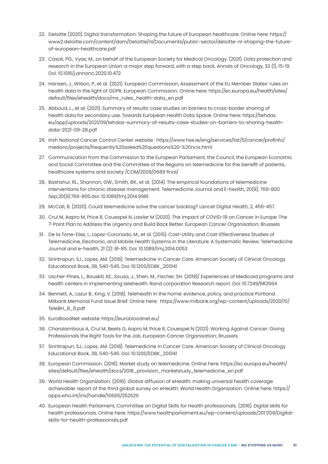- 22. Deloitte (2020). Digital transformation: Shaping the future of European healthcare. Online here: https:// www2.deloitte.com/content/dam/Deloitte/nl/Documents/public-sector/deloitte-nl-shaping-the-futureof-european-healthcare.pdf
- 23. Casali, PG., Vyas, M., on behalf of the European Society for Medical Oncology. (2021). Data protection and research in the European Union: a major step forward, with a step back. Annals of Oncology, 32 (1), 15-19. Doi: 10.1016/j.annonc.2020.10.472
- 24. Hansen, J., Wilson, P., et al. (2021). European Commission, Assessment of the EU Member States' rules on health data in the light of GDPR. European Commission. Online here: https://ec.europa.eu/health/sites/ default/files/ehealth/docs/ms\_rules\_health-data\_en.pdf
- 25. Abboud, L., et al. (2021). Summary of results: case studies on barriers to cross-border sharing of health data for secondary use. Towards European Health Data Space. Online here: https://tehdas. eu/app/uploads/2021/09/tehdas-summary-of-results-case-studies-on-barriers-to-sharing-healthdata-2021-09-28.pdf
- 26. Irish National Cancer Control Center website : https://www.hse.ie/eng/services/list/5/cancer/profinfo/ medonc/projects/frequently%20asked%20questions%20-%20ncis.html
- 27. Communication from the Commission to the European Parliament, the Council, the European Economic and Social Committee and the Committee of the Regions on telemedicine for the benefit of patients, healthcare systems and society /COM/2008/0689 final/
- 28. Bashshur, RL., Shannon, GW., Smith, BR., et al. (2014). The empirical foundations of telemedicine interventions for chronic disease management. Telemedicine Journal and E-health, 20(9), 769-800 Sep;20(9):769-800.doi: 10.1089/tmj.2014.9981.
- 29. McCall, B. (2020). Could telemedicine solve the cancer backlog? Lancet Digital Health, 2, 456-457.
- 30. Crul M, Aapro M, Price R, Couespel N, Lawler M (2020). The Impact of COVID-19 on Cancer in Europe: The 7-Point Plan to Address the Urgency and Build Back Better. European Cancer Organisation; Brussels
- 31. De la Torre-Diez, I., Lopez-Coronado, M., et al. (2015). Cost-Utility and Cost-Effectiveness Studies of Telemedicine, Electronic, and Mobile Health Systems in the Literature: A Systematic Review. Telemedicine Journal and e-health, 21 (2): 81-85. Doi: 10.1089/tmj.2014.0053
- 32. Sirintrapun, SJ., Lopez, AM. (2018). Telemedicine in Cancer Care. American Society of Clinical Oncology Educational Book, 38, 540-545. Doi: 10.1200/EDBK\_200141
- 33. Uscher-Pines, L., Bouskill, KE., Sousa, J., Shen, M., Fischer, SH. (2019)/ Experiences of Medicaid programs and health centers in implementing telehealth. Rand corporation Research report. Doi: 10.7249/RR2564
- 34. Bennett, A., Lazur B., King, V. (2018). Telehealth in the home: evidence, policy, and practice Portland. Milbank Memorial Fund Issue Brief. Online here: https://www.milbank.org/wp-content/uploads/2020/10/ TeleBH\_B\_6.pdf
- 35. EuroBloodNet website: https://eurobloodnet.eu/
- 36. Charalambous A, Crul M, Beets G, Aapro M, Price R, Couespel N (2021). Working Against Cancer: Giving Professionals the Right Tools for the Job. European Cancer Organisation; Brussels.
- 37. Sirintrapun, SJ., Lopez, AM. (2018). Telemedicine in Cancer Care. American Society of Clinical Oncology Educational Book, 38, 540-545. Doi: 10.1200/EDBK\_200141
- 38. European Commission. (2018). Market study on telemedicine. Online here: https://ec.europa.eu/health/ sites/default/files/ehealth/docs/2018\_provision\_marketstudy\_telemedicine\_en.pdf
- 39. World Health Organization. (2016). Global diffusion of eHealth: making universal health coverage achievable: report of the third global survey on eHealth. World Health Organization. Online here: https:// apps.who.int/iris/handle/10665/252529
- 40. European Health Parliament, Committee on Digital Skills for Health professionals. (2016). Digital skills for health professionals. Online here: https://www.healthparliament.eu/wp-content/uploads/2017/09/Digitalskills-for-health-professionals.pdf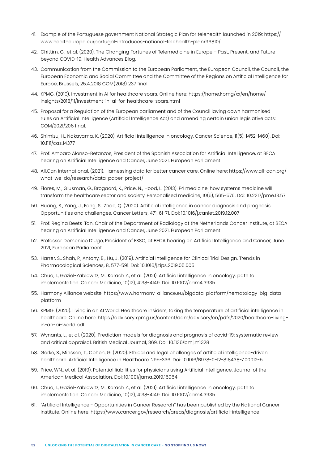- 41. Example of the Portuguese government National Strategic Plan for telehealth launched in 2019: https:// www.healtheuropa.eu/portugal-introduces-national-telehealth-plan/96810/
- 42. Chittim, G., et al. (2020). The Changing Fortunes of Telemedicine in Europe Past, Present, and Future beyond COVID-19. Health Advances Blog.
- 43. Communication from the Commission to the European Parliament, the European Council, the Council, the European Economic and Social Committee and the Committee of the Regions on Artificial Intelligence for Europe, Brussels, 25.4.2018 COM(2018) 237 final.
- 44. KPMG. (2019). Investment in AI for healthcare soars. Online here: https://home.kpmg/xx/en/home/ insights/2018/11/investment-in-ai-for-healthcare-soars.html
- 45. Proposal for a Regulation of the European parliament and of the Council laying down harmonised rules on Artificial Intelligence (Artificial Intelligence Act) and amending certain union legislative acts: COM/2021/206 final.
- 46. Shimizu, H., Nakayama, K. (2020). Artificial Intelligence in oncology. Cancer Science, 11(5): 1452-1460). Doi: 10.1111/cas.14377
- 47. Prof. Amparo Alonso-Betanzos, President of the Spanish Association for Artificial Intelligence, at BECA hearing on Artificial Intelligence and Cancer, June 2021, European Parliament.
- 48. All.Can International. (2021). Harnessing data for better cancer care. Online here: https://www.all-can.org/ what-we-do/research/data-paper-project/
- 49. Flores, M., Glusman, G., Brogaard, K., Price, N., Hood, L. (2013). P4 medicine: how systems medicine will transform the healthcare sector and society. Personalised medicine, 10(6), 565-576. Doi: 10.2217/pme.13.57
- 50. Huang, S., Yang, J., Fong, S., Zhao, Q. (2020). Artificial intelligence in cancer diagnosis and prognosis: Opportunities and challenges. Cancer Letters, 471, 61-71. Doi: 10.1016/j.canlet.2019.12.007
- 51. Prof. Regina Beets-Tan, Chair of the Department of Radiology at the Netherlands Cancer Institute, at BECA hearing on Artificial Intelligence and Cancer, June 2021, European Parliament.
- 52. Professor Domenico D'Ugo, President of ESSO, at BECA hearing on Artificial Intelligence and Cancer, June 2021, European Parliament
- 53. Harrer, S., Shah, P., Antony, B., Hu, J. (2019). Artificial Intelligence for Clinical Trial Design. Trends in Pharmacological Sciences, 8, 577-591. Doi: 10.1016/j.tips.2019.05.005
- 54. Chua, I., Gaziel-Yablowitz, M., Korach Z., et al. (2021). Artificial intelligence in oncology: path to implementation. Cancer Medicine, 10(12), 4138-4149. Doi: 10.1002/cam4.3935
- 55. Harmony Alliance website: https://www.harmony-alliance.eu/bigdata-platform/hematology-big-dataplatform
- 56. KPMG. (2020). Living in an AI World: Healthcare insiders, taking the temperature of artificial intelligence in healthcare. Online here: https://advisory.kpmg.us/content/dam/advisory/en/pdfs/2020/healthcare-livingin-an-ai-world.pdf
- 57. Wynants, L., et al. (2020). Prediction models for diagnosis and prognosis of covid-19: systematic review and critical appraisal. British Medical Journal, 369. Doi: 10.1136/bmj.m1328
- 58. Gerke, S., Minssen, T., Cohen, G. (2020). Ethical and legal challenges of artificial intelligence-driven healthcare. Artificial Intelligence in Healthcare, 295-336. Doi: 10.1016/B978-0-12-818438-7.00012-5
- 59. Price, WN., et al. (2019). Potential liabilities for physicians using Artificial Intelligence. Journal of the American Medical Association. Doi: 10.1001/jama.2019.15064
- 60. Chua, I., Gaziel-Yablowitz, M., Korach Z., et al. (2021). Artificial intelligence in oncology: path to implementation. Cancer Medicine, 10(12), 4138-4149. Doi: 10.1002/cam4.3935
- 61. "Artificial Intelligence Opportunities in Cancer Research" has been published by the National Cancer Institute. Online here: https://www.cancer.gov/research/areas/diagnosis/artificial-intelligence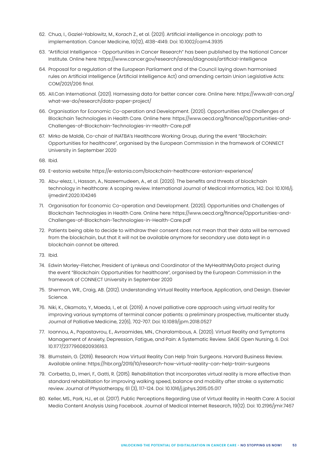- 62. Chua, I., Gaziel-Yablowitz, M., Korach Z., et al. (2021). Artificial intelligence in oncology: path to implementation. Cancer Medicine, 10(12), 4138-4149. Doi: 10.1002/cam4.3935
- 63. "Artificial Intelligence Opportunities in Cancer Research" has been published by the National Cancer Institute. Online here: https://www.cancer.gov/research/areas/diagnosis/artificial-intelligence
- 64. Proposal for a regulation of the European Parliament and of the Council laying down harmonised rules on Artificial Intelligence (Artificial Intelligence Act) and amending certain Union Legislative Acts: COM/2021/206 final.
- 65. All.Can International. (2021). Harnessing data for better cancer care. Online here: https://www.all-can.org/ what-we-do/research/data-paper-project/
- 66. Organisation for Economic Co-operation and Development. (2020). Opportunities and Challenges of Blockchain Technologies in Health Care. Online here: https://www.oecd.org/finance/Opportunities-and-Challenges-of-Blockchain-Technologies-in-Health-Care.pdf
- 67. Mirko de Maldè, Co-chair of INATBA's Healthcare Working Group, during the event "Blockchain: Opportunities for healthcare", organised by the European Commission in the framework of CONNECT University in September 2020

68. Ibid.

- 69. E-estonia website: https://e-estonia.com/blockchain-healthcare-estonian-experience/
- 70. Abu-elezz, I., Hassan, A., Nazeemudeen, A., et al. (2020). The benefits and threats of blockchain technology in healthcare: A scoping review. International Journal of Medical Informatics, 142. Doi: 10.1016/j. ijmedinf.2020.104246
- 71. Organisation for Economic Co-operation and Development. (2020). Opportunities and Challenges of Blockchain Technologies in Health Care. Online here: https://www.oecd.org/finance/Opportunities-and-Challenges-of-Blockchain-Technologies-in-Health-Care.pdf
- 72. Patients being able to decide to withdraw their consent does not mean that their data will be removed from the blockchain, but that it will not be available anymore for secondary use: data kept in a blockchain cannot be altered.
- 73. Ibid.
- 74. Edwin Morley-Fletcher, President of Lynkeus and Coordinator of the MyHealthMyData project during the event "Blockchain: Opportunities for healthcare", organised by the European Commission in the framework of CONNECT University in September 2020
- 75. Sherman, WR., Craig, AB. (2012). Understanding Virtual Reality Interface, Application, and Design. Elsevier Science.
- 76. Niki, K., Okamoto, Y., Maeda, I., et al. (2019). A novel palliative care approach using virtual reality for improving various symptoms of terminal cancer patients: a preliminary prospective, multicenter study. Journal of Palliative Medicine, 22(6), 702-707. Doi: 10.1089/jpm.2018.0527
- 77. Ioannou, A., Papastavrou, E., Avraamides, MN., Charalambous, A. (2020). Virtual Reality and Symptoms Management of Anxiety, Depression, Fatigue, and Pain: A Systematic Review. SAGE Open Nursing, 6. Doi: 10.1177/2377960820936163.
- 78. Blumstein, G. (2019). Research: How Virtual Reality Can Help Train Surgeons. Harvard Business Review. Available online: https://hbr.org/2019/10/research-how-virtual-reality-can-help-train-surgeons
- 79. Corbetta, D., Imeri, F., Gatti, R. (2015). Rehabilitation that incorporates virtual reality is more effective than standard rehabilitation for improving walking speed, balance and mobility after stroke: a systematic review. Journal of Physiotherapy, 61 (3), 117-124. Doi: 10.1016/j.jphys.2015.05.017
- 80. Keller, MS., Park, HJ., et al. (2017). Public Perceptions Regarding Use of Virtual Reality in Health Care: A Social Media Content Analysis Using Facebook. Journal of Medical Internet Research, 19(12). Doi: 10.2196/jmir.7467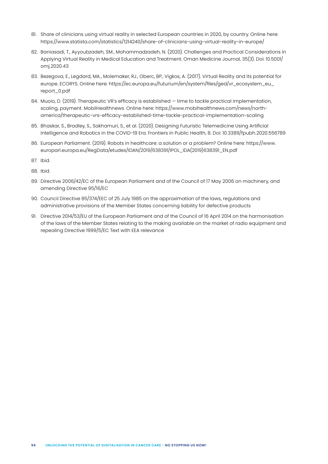- 81. Share of clinicians using virtual reality in selected European countries in 2020, by country. Online here: https://www.statista.com/statistics/1214240/share-of-clinicians-using-virtual-reality-in-europe/
- 82. Baniasadi, T., Ayyoubzadeh, SM., Mohammadzadeh, N. (2020). Challenges and Practical Considerations in Applying Virtual Reality in Medical Education and Treatment. Oman Medicine Journal, 35(3). Doi: 10.5001/ omj.2020.43
- 83. Bezegova, E., Legdard, MA., Molemaker, RJ., Oberc, BP., Vigkos, A. (2017). Virtual Reality and its potential for europe. ECORYS. Online here: https://ec.europa.eu/futurium/en/system/files/ged/vr\_ecosystem\_eu\_ report\_0.pdf
- 84. Muoio, D. (2019). Therapeutic VR's efficacy is established time to tackle practical implementation, scaling, payment. MobilHealthnews. Online here: https://www.mobihealthnews.com/news/northamerica/therapeutic-vrs-efficacy-established-time-tackle-practical-implementation-scaling
- 85. Bhaskar, S., Bradley, S., Sakhamuri, S., et al. (2020). Designing Futuristic Telemedicine Using Artificial Intelligence and Robotics in the COVID-19 Era. Frontiers in Public Health, 8. Doi: 10.3389/fpubh.2020.556789
- 86. European Parliament. (2019). Robots in healthcare: a solution or a problem? Online here: https://www. europarl.europa.eu/RegData/etudes/IDAN/2019/638391/IPOL\_IDA(2019)638391\_EN.pdf
- 87. Ibid.
- 88. Ibid.
- 89. Directive 2006/42/EC of the European Parliament and of the Council of 17 May 2006 on machinery, and amending Directive 95/16/EC
- 90. Council Directive 85/374/EEC of 25 July 1985 on the approximation of the laws, regulations and administrative provisions of the Member States concerning liability for defective products
- 91. Directive 2014/53/EU of the European Parliament and of the Council of 16 April 2014 on the harmonisation of the laws of the Member States relating to the making available on the market of radio equipment and repealing Directive 1999/5/EC Text with EEA relevance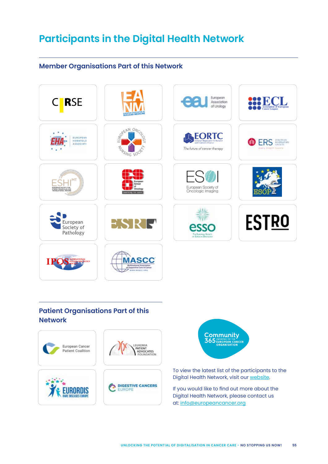# **Participants in the Digital Health Network**

# **Member Organisations Part of this Network**



# **Patient Organisations Part of this Network**





To view the latest list of the participants to the Digital Health Network, visit our [website.](https://www.europeancancer.org/topic-networks/4:digital-health)

If you would like to find out more about the Digital Health Network, please contact us at: [info@europeancancer.org](mailto:info%40europeancancer.org?subject=)